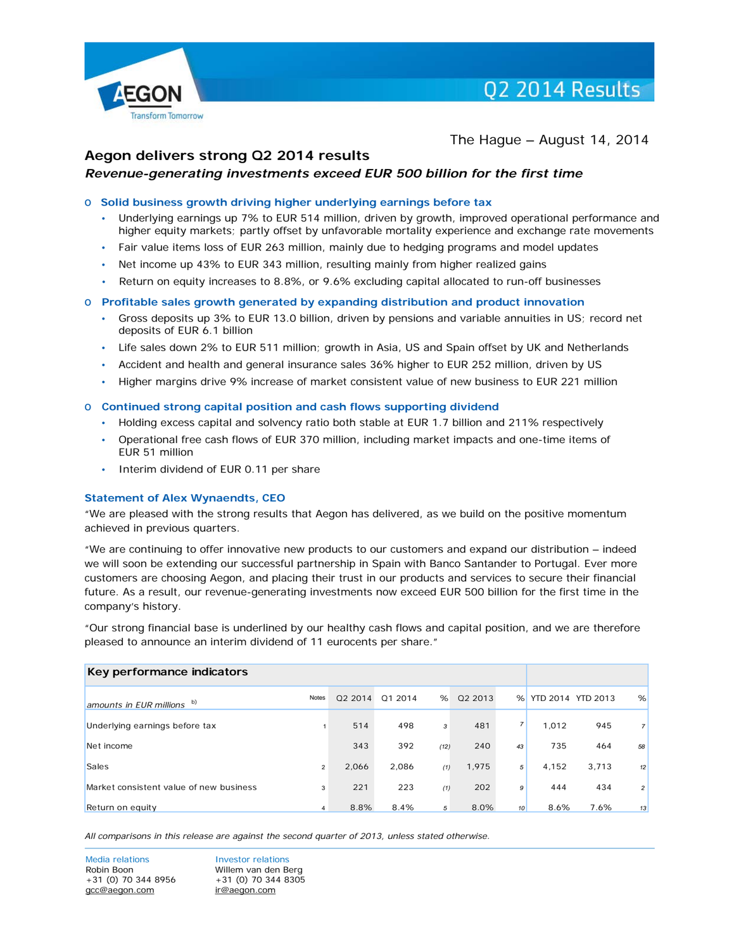

The Hague – August 14, 2014

# **Aegon delivers strong Q2 2014 results**

# *Revenue-generating investments exceed EUR 500 billion for the first time*

#### o **Solid business growth driving higher underlying earnings before tax**

- Underlying earnings up 7% to EUR 514 million, driven by growth, improved operational performance and higher equity markets; partly offset by unfavorable mortality experience and exchange rate movements
- Fair value items loss of EUR 263 million, mainly due to hedging programs and model updates
- Net income up 43% to EUR 343 million, resulting mainly from higher realized gains
- Return on equity increases to 8.8%, or 9.6% excluding capital allocated to run-off businesses

#### o **Profitable sales growth generated by expanding distribution and product innovation**

- Gross deposits up 3% to EUR 13.0 billion, driven by pensions and variable annuities in US; record net deposits of EUR 6.1 billion
- Life sales down 2% to EUR 511 million; growth in Asia, US and Spain offset by UK and Netherlands
- Accident and health and general insurance sales 36% higher to EUR 252 million, driven by US
- Higher margins drive 9% increase of market consistent value of new business to EUR 221 million

#### o **Continued strong capital position and cash flows supporting dividend**

- Holding excess capital and solvency ratio both stable at EUR 1.7 billion and 211% respectively
- Operational free cash flows of EUR 370 million, including market impacts and one-time items of EUR 51 million
- Interim dividend of EUR 0.11 per share

#### **Statement of Alex Wynaendts, CEO**

"We are pleased with the strong results that Aegon has delivered, as we build on the positive momentum achieved in previous quarters.

"We are continuing to offer innovative new products to our customers and expand our distribution – indeed we will soon be extending our successful partnership in Spain with Banco Santander to Portugal. Ever more customers are choosing Aegon, and placing their trust in our products and services to secure their financial future. As a result, our revenue-generating investments now exceed EUR 500 billion for the first time in the company's history.

"Our strong financial base is underlined by our healthy cash flows and capital position, and we are therefore pleased to announce an interim dividend of 11 eurocents per share."

| Key performance indicators              |                |         |         |      |         |                 |                   |       |                |
|-----------------------------------------|----------------|---------|---------|------|---------|-----------------|-------------------|-------|----------------|
| amounts in EUR millions $\overline{p}$  | <b>Notes</b>   | Q2 2014 | Q1 2014 | %    | Q2 2013 | %               | YTD 2014 YTD 2013 |       | %              |
| Underlying earnings before tax          |                | 514     | 498     | 3    | 481     |                 | 1.012             | 945   | 7 <sup>1</sup> |
| Net income                              |                | 343     | 392     | (12) | 240     | 43              | 735               | 464   | 58             |
| Sales                                   | $\overline{2}$ | 2,066   | 2,086   | (1)  | 1,975   | 5               | 4,152             | 3,713 | 12             |
| Market consistent value of new business | 3              | 221     | 223     | (1)  | 202     | 9               | 444               | 434   | 2              |
| Return on equity                        | 4              | 8.8%    | 8.4%    | 5    | 8.0%    | 10 <sup>1</sup> | 8.6%              | 7.6%  | 13             |

*All comparisons in this release are against the second quarter of 2013, unless stated otherwise.*

Media relations **Investor relations** Robin Boon Willem van den Berg  $+31$  (0) 70 344 8956  $+31$  (0) 70 344 8305 [gcc@aegon.com](mailto:gcc@aegon.com) [ir@aegon.com](mailto:ir@aegon.com)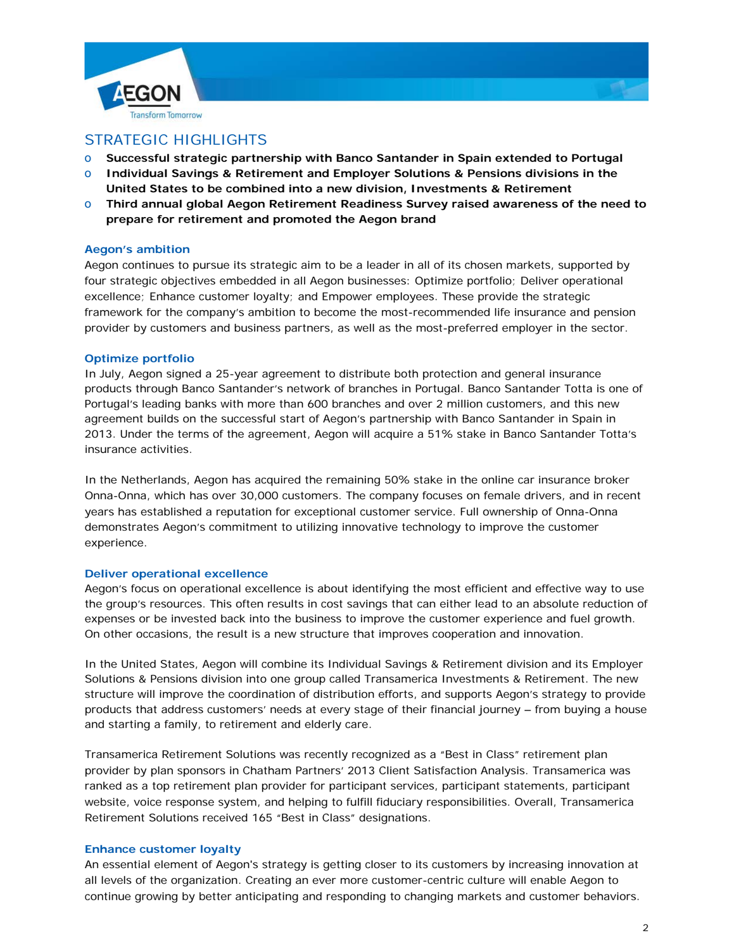



# STRATEGIC HIGHLIGHTS

- o **Successful strategic partnership with Banco Santander in Spain extended to Portugal**
- o **Individual Savings & Retirement and Employer Solutions & Pensions divisions in the United States to be combined into a new division, Investments & Retirement**
- o **Third annual global Aegon Retirement Readiness Survey raised awareness of the need to prepare for retirement and promoted the Aegon brand**

### **Aegon's ambition**

Aegon continues to pursue its strategic aim to be a leader in all of its chosen markets, supported by four strategic objectives embedded in all Aegon businesses: Optimize portfolio; Deliver operational excellence; Enhance customer loyalty; and Empower employees. These provide the strategic framework for the company's ambition to become the most-recommended life insurance and pension provider by customers and business partners, as well as the most-preferred employer in the sector.

### **Optimize portfolio**

In July, Aegon signed a 25-year agreement to distribute both protection and general insurance products through Banco Santander's network of branches in Portugal. Banco Santander Totta is one of Portugal's leading banks with more than 600 branches and over 2 million customers, and this new agreement builds on the successful start of Aegon's partnership with Banco Santander in Spain in 2013. Under the terms of the agreement, Aegon will acquire a 51% stake in Banco Santander Totta's insurance activities.

In the Netherlands, Aegon has acquired the remaining 50% stake in the online car insurance broker Onna-Onna, which has over 30,000 customers. The company focuses on female drivers, and in recent years has established a reputation for exceptional customer service. Full ownership of Onna-Onna demonstrates Aegon's commitment to utilizing innovative technology to improve the customer experience.

#### **Deliver operational excellence**

Aegon's focus on operational excellence is about identifying the most efficient and effective way to use the group's resources. This often results in cost savings that can either lead to an absolute reduction of expenses or be invested back into the business to improve the customer experience and fuel growth. On other occasions, the result is a new structure that improves cooperation and innovation.

In the United States, Aegon will combine its Individual Savings & Retirement division and its Employer Solutions & Pensions division into one group called Transamerica Investments & Retirement. The new structure will improve the coordination of distribution efforts, and supports Aegon's strategy to provide products that address customers' needs at every stage of their financial journey – from buying a house and starting a family, to retirement and elderly care.

Transamerica Retirement Solutions was recently recognized as a "Best in Class" retirement plan provider by plan sponsors in Chatham Partners' 2013 Client Satisfaction Analysis. Transamerica was ranked as a top retirement plan provider for participant services, participant statements, participant website, voice response system, and helping to fulfill fiduciary responsibilities. Overall, Transamerica Retirement Solutions received 165 "Best in Class" designations.

# **Enhance customer loyalty**

An essential element of Aegon's strategy is getting closer to its customers by increasing innovation at all levels of the organization. Creating an ever more customer-centric culture will enable Aegon to continue growing by better anticipating and responding to changing markets and customer behaviors.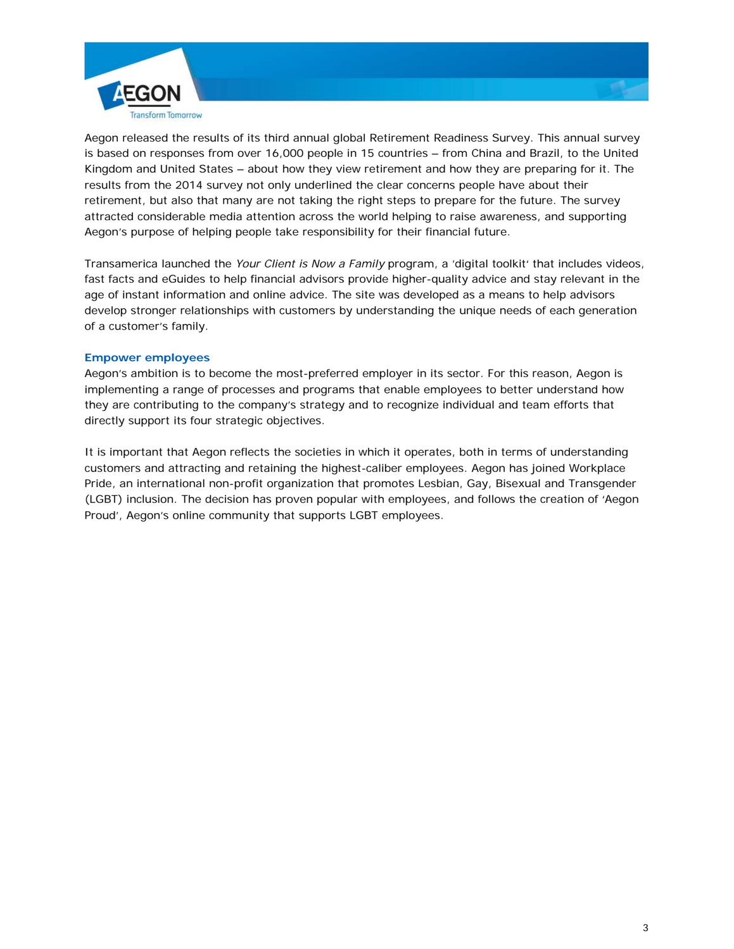

Aegon released the results of its third annual global Retirement Readiness Survey. This annual survey is based on responses from over 16,000 people in 15 countries – from China and Brazil, to the United Kingdom and United States – about how they view retirement and how they are preparing for it. The results from the 2014 survey not only underlined the clear concerns people have about their retirement, but also that many are not taking the right steps to prepare for the future. The survey attracted considerable media attention across the world helping to raise awareness, and supporting Aegon's purpose of helping people take responsibility for their financial future.

Transamerica launched the *Your Client is Now a Family* program, a 'digital toolkit' that includes videos, fast facts and eGuides to help financial advisors provide higher-quality advice and stay relevant in the age of instant information and online advice. The site was developed as a means to help advisors develop stronger relationships with customers by understanding the unique needs of each generation of a customer's family.

### **Empower employees**

Aegon's ambition is to become the most-preferred employer in its sector. For this reason, Aegon is implementing a range of processes and programs that enable employees to better understand how they are contributing to the company's strategy and to recognize individual and team efforts that directly support its four strategic objectives.

It is important that Aegon reflects the societies in which it operates, both in terms of understanding customers and attracting and retaining the highest-caliber employees. Aegon has joined Workplace Pride, an international non-profit organization that promotes Lesbian, Gay, Bisexual and Transgender (LGBT) inclusion. The decision has proven popular with employees, and follows the creation of 'Aegon Proud', Aegon's online community that supports LGBT employees.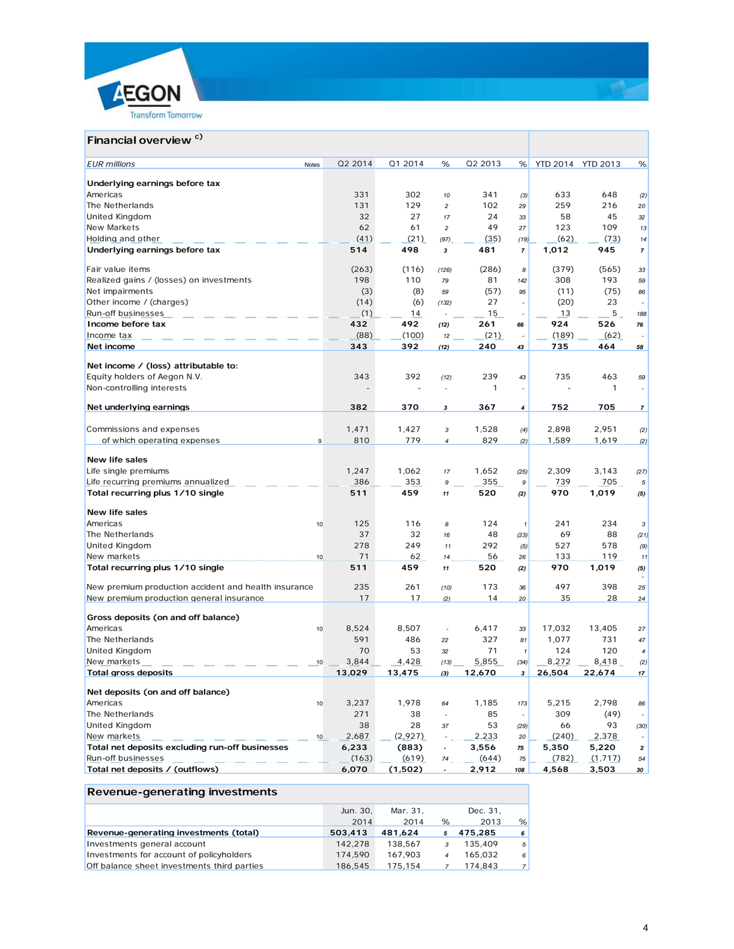



# **Financial overview c)**

| <b>EUR</b> millions<br>Notes                         | Q2 2014         | Q1 2014     | %                        | Q2 2013         | %                        | YTD 2014 YTD 2013 |                 | %                        |
|------------------------------------------------------|-----------------|-------------|--------------------------|-----------------|--------------------------|-------------------|-----------------|--------------------------|
| Underlying earnings before tax                       |                 |             |                          |                 |                          |                   |                 |                          |
| Americas                                             | 331             | 302         | 10                       | 341             | (3)                      | 633               | 648             | (2)                      |
| The Netherlands                                      | 131             | 129         | $\overline{c}$           | 102             | 29                       | 259               | 216             | 20                       |
| United Kingdom                                       | 32              | 27          | 17                       | 24              | 33                       | 58                | 45              | 32                       |
| New Markets                                          | 62              | 61          | $\overline{c}$           | 49              | 27                       | 123               | 109             | 13                       |
| Holding and other                                    | (41)            | (21)        | (97)                     | (35)            | (19)                     | (62)              | (73)            | 14                       |
| Underlying earnings before tax                       | 514             | 498         | 3                        | 481             | 7                        | 1,012             | 945             | $\overline{7}$           |
| Fair value items                                     | (263)           | (116)       | (126)                    | (286)           | 8                        | (379)             | (565)           | 33                       |
| Realized gains / (losses) on investments             | 198             | 110         | 79                       | 81              | 142                      | 308               | 193             | 59                       |
| Net impairments                                      | (3)             | (8)         | 59                       | (57)            | 95                       | (11)              | (75)            | 86                       |
| Other income / (charges)                             | (14)            | (6)         | (132)                    | 27              | $\overline{a}$           | (20)              | 23              | $\overline{a}$           |
| Run-off businesses                                   | (1)             | 14          |                          | 15              |                          | 13                | 5               | 188                      |
| Income before tax                                    | 432             | 492         | (12)                     | 261             | 66                       | 924               | 526             | 76                       |
| Income tax                                           | (88)            | (100)       | 12                       | (21)            |                          | (189)             | (62)            | $\overline{\phantom{a}}$ |
| Net income                                           | 343             | 392         | (12)                     | 240             | 43                       | 735               | 464             | 58                       |
|                                                      |                 |             |                          |                 |                          |                   |                 |                          |
| Net income / (loss) attributable to:                 |                 |             |                          |                 |                          |                   |                 |                          |
| Equity holders of Aegon N.V.                         | 343             | 392         | (12)                     | 239             | 43                       | 735               | 463             | 59                       |
| Non-controlling interests                            |                 |             |                          | 1               | $\overline{\phantom{a}}$ |                   | 1               |                          |
| Net underlying earnings                              | 382             | 370         | 3                        | 367             | 4                        | 752               | 705             | $\overline{7}$           |
| Commissions and expenses                             | 1,471           | 1,427       | 3                        | 1,528           | (4)                      | 2,898             | 2,951           | (2)                      |
| of which operating expenses<br>$\mathsf g$           | 810             | 779         | $\overline{4}$           | 829             | (2)                      | 1,589             | 1,619           | (2)                      |
|                                                      |                 |             |                          |                 |                          |                   |                 |                          |
| <b>New life sales</b>                                |                 |             |                          |                 |                          |                   |                 |                          |
| Life single premiums                                 | 1,247           | 1,062       | 17                       | 1,652           | (25)                     | 2.309             | 3.143           | (27)                     |
| Life recurring premiums annualized                   | 386             | 353         | 9                        | 355             | 9                        | 739               | 705             | 5                        |
| Total recurring plus 1/10 single                     | 511             | 459         | 11                       | 520             | (2)                      | 970               | 1,019           | (5)                      |
| <b>New life sales</b>                                |                 |             |                          |                 |                          |                   |                 |                          |
| Americas<br>10                                       | 125             | 116         | 8                        | 124             | $\pmb{\mathcal{I}}$      | 241               | 234             | 3                        |
| The Netherlands                                      | 37              | 32          | 16                       | 48              | (23)                     | 69                | 88              | (21)                     |
| United Kingdom                                       | 278             | 249         | 11                       | 292             | (5)                      | 527               | 578             | (9)                      |
| New markets<br>10                                    | 71              | 62          | 14                       | 56              | 26                       | 133               | 119             | 11                       |
| Total recurring plus 1/10 single                     | 511             | 459         | 11                       | 520             | (2)                      | 970               | 1,019           | (5)                      |
| New premium production accident and health insurance | 235             | 261         | (10)                     | 173             | 36                       | 497               | 398             | 25                       |
| New premium production general insurance             | 17              | 17          | (2)                      | 14              | 20                       | 35                | 28              | 24                       |
|                                                      |                 |             |                          |                 |                          |                   |                 |                          |
| Gross deposits (on and off balance)                  |                 |             |                          |                 |                          |                   |                 |                          |
| Americas<br>10                                       | 8,524           | 8,507       | ÷,                       | 6,417           | 33                       | 17,032            | 13,405          | 27                       |
| The Netherlands                                      | 591             | 486         | 22                       | 327             | 81                       | 1,077             | 731             | 47                       |
| United Kingdom                                       | 70              | 53<br>4,428 | 32                       | 71              | $\mathbf{1}$             | 124               | 120             | 4                        |
| New markets<br>10<br><b>Total gross deposits</b>     | 3,844<br>13,029 | 13,475      | (13)<br>(3)              | 5,855<br>12,670 | (34)<br>3                | 8,272<br>26,504   | 8,418<br>22,674 | (2)<br>17                |
|                                                      |                 |             |                          |                 |                          |                   |                 |                          |
| Net deposits (on and off balance)                    |                 |             |                          |                 |                          |                   |                 |                          |
| Americas<br>10                                       | 3,237           | 1,978       | 64                       | 1,185           | 173                      | 5,215             | 2,798           | 86                       |
| The Netherlands                                      | 271             | 38          | $\overline{\phantom{a}}$ | 85              |                          | 309               | (49)            |                          |
| United Kingdom                                       | 38              | 28          | 37                       | 53              | (29)                     | 66                | 93              | (30)                     |
| New markets                                          | 2,687<br>10     | (2,927)     |                          | 2,233           | 20                       | (240)             | 2,378           |                          |
| Total net deposits excluding run-off businesses      | 6,233           | (883)       | $\overline{\phantom{a}}$ | 3,556           | 75                       | 5,350             | 5,220           | 2                        |
| Run-off businesses                                   | (163)           | (619)       | 74                       | (644)           | 75                       | (782)             | (1, 717)        | 54                       |
| Total net deposits / (outflows)                      | 6,070           | (1,502)     | $\overline{\phantom{a}}$ | 2,912           | 108                      | 4,568             | 3,503           | 30                       |

# **Revenue-generating investments**

|                                             | Jun. 30. | Mar. 31. |   | Dec. 31. |    |
|---------------------------------------------|----------|----------|---|----------|----|
|                                             | 2014     | 2014     | % | 2013     | %  |
| Revenue-generating investments (total)      | 503,413  | 481.624  |   | 475,285  | 6  |
| Investments general account                 | 142.278  | 138.567  |   | 135,409  | -5 |
| Investments for account of policyholders    | 174,590  | 167.903  |   | 165.032  | 6  |
| Off balance sheet investments third parties | 186.545  | 175.154  |   | 174.843  |    |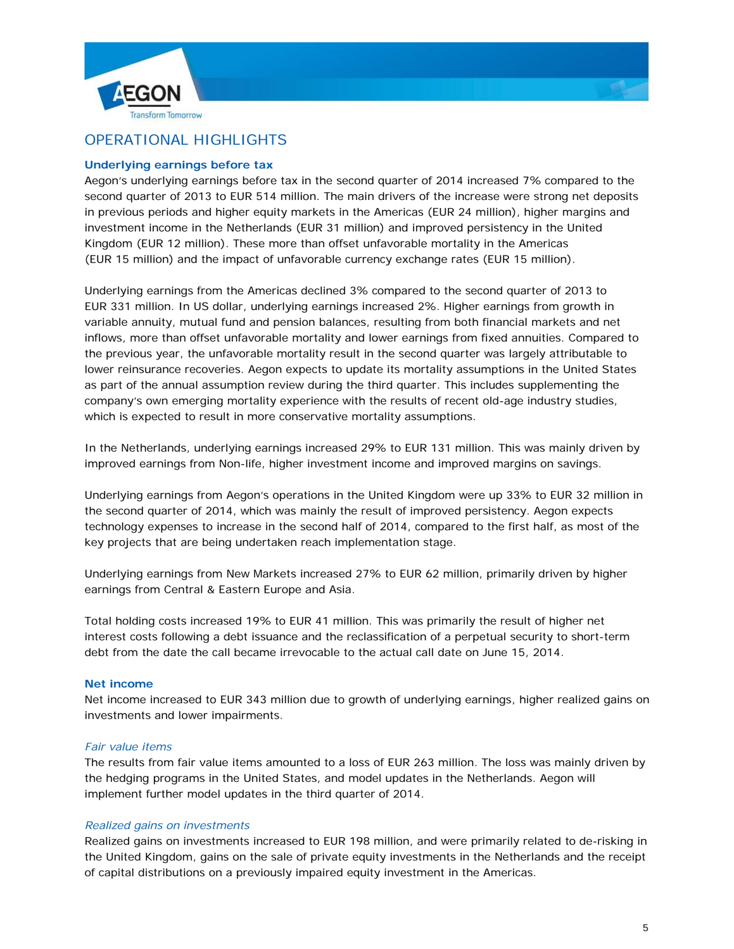



# OPERATIONAL HIGHLIGHTS

# **Underlying earnings before tax**

Aegon's underlying earnings before tax in the second quarter of 2014 increased 7% compared to the second quarter of 2013 to EUR 514 million. The main drivers of the increase were strong net deposits in previous periods and higher equity markets in the Americas (EUR 24 million), higher margins and investment income in the Netherlands (EUR 31 million) and improved persistency in the United Kingdom (EUR 12 million). These more than offset unfavorable mortality in the Americas (EUR 15 million) and the impact of unfavorable currency exchange rates (EUR 15 million).

Underlying earnings from the Americas declined 3% compared to the second quarter of 2013 to EUR 331 million. In US dollar, underlying earnings increased 2%. Higher earnings from growth in variable annuity, mutual fund and pension balances, resulting from both financial markets and net inflows, more than offset unfavorable mortality and lower earnings from fixed annuities. Compared to the previous year, the unfavorable mortality result in the second quarter was largely attributable to lower reinsurance recoveries. Aegon expects to update its mortality assumptions in the United States as part of the annual assumption review during the third quarter. This includes supplementing the company's own emerging mortality experience with the results of recent old-age industry studies, which is expected to result in more conservative mortality assumptions.

In the Netherlands, underlying earnings increased 29% to EUR 131 million. This was mainly driven by improved earnings from Non-life, higher investment income and improved margins on savings.

Underlying earnings from Aegon's operations in the United Kingdom were up 33% to EUR 32 million in the second quarter of 2014, which was mainly the result of improved persistency. Aegon expects technology expenses to increase in the second half of 2014, compared to the first half, as most of the key projects that are being undertaken reach implementation stage.

Underlying earnings from New Markets increased 27% to EUR 62 million, primarily driven by higher earnings from Central & Eastern Europe and Asia.

Total holding costs increased 19% to EUR 41 million. This was primarily the result of higher net interest costs following a debt issuance and the reclassification of a perpetual security to short-term debt from the date the call became irrevocable to the actual call date on June 15, 2014.

# **Net income**

Net income increased to EUR 343 million due to growth of underlying earnings, higher realized gains on investments and lower impairments.

#### *Fair value items*

The results from fair value items amounted to a loss of EUR 263 million. The loss was mainly driven by the hedging programs in the United States, and model updates in the Netherlands. Aegon will implement further model updates in the third quarter of 2014.

# *Realized gains on investments*

Realized gains on investments increased to EUR 198 million, and were primarily related to de-risking in the United Kingdom, gains on the sale of private equity investments in the Netherlands and the receipt of capital distributions on a previously impaired equity investment in the Americas.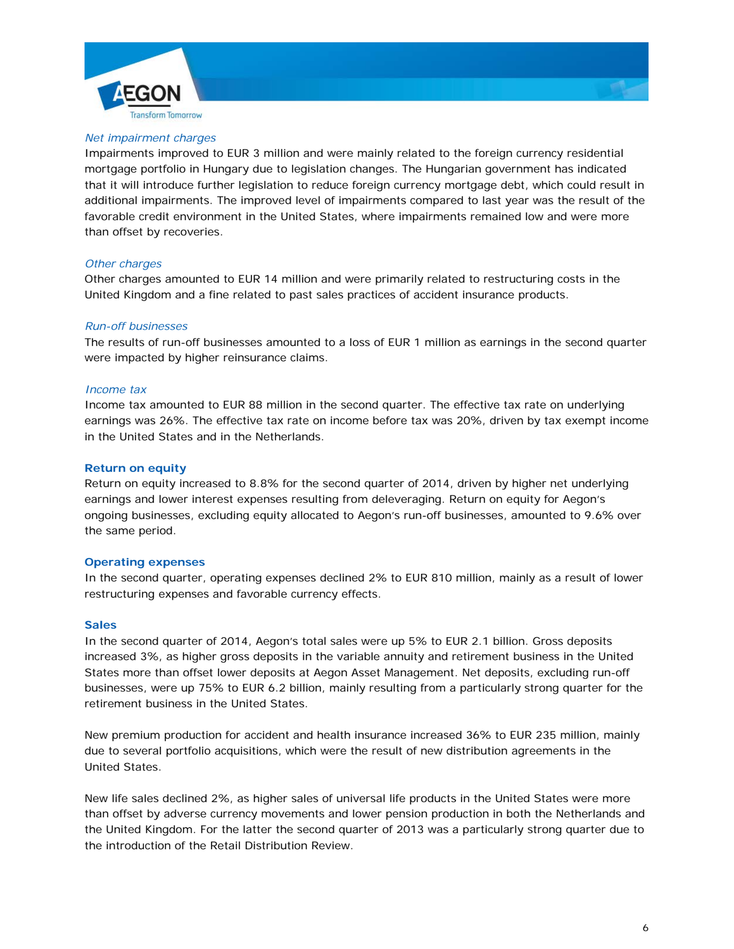



### *Net impairment charges*

Impairments improved to EUR 3 million and were mainly related to the foreign currency residential mortgage portfolio in Hungary due to legislation changes. The Hungarian government has indicated that it will introduce further legislation to reduce foreign currency mortgage debt, which could result in additional impairments. The improved level of impairments compared to last year was the result of the favorable credit environment in the United States, where impairments remained low and were more than offset by recoveries.

#### *Other charges*

Other charges amounted to EUR 14 million and were primarily related to restructuring costs in the United Kingdom and a fine related to past sales practices of accident insurance products.

#### *Run-off businesses*

The results of run-off businesses amounted to a loss of EUR 1 million as earnings in the second quarter were impacted by higher reinsurance claims.

### *Income tax*

Income tax amounted to EUR 88 million in the second quarter. The effective tax rate on underlying earnings was 26%. The effective tax rate on income before tax was 20%, driven by tax exempt income in the United States and in the Netherlands.

### **Return on equity**

Return on equity increased to 8.8% for the second quarter of 2014, driven by higher net underlying earnings and lower interest expenses resulting from deleveraging. Return on equity for Aegon's ongoing businesses, excluding equity allocated to Aegon's run-off businesses, amounted to 9.6% over the same period.

#### **Operating expenses**

In the second quarter, operating expenses declined 2% to EUR 810 million, mainly as a result of lower restructuring expenses and favorable currency effects.

#### **Sales**

In the second quarter of 2014, Aegon's total sales were up 5% to EUR 2.1 billion. Gross deposits increased 3%, as higher gross deposits in the variable annuity and retirement business in the United States more than offset lower deposits at Aegon Asset Management. Net deposits, excluding run-off businesses, were up 75% to EUR 6.2 billion, mainly resulting from a particularly strong quarter for the retirement business in the United States.

New premium production for accident and health insurance increased 36% to EUR 235 million, mainly due to several portfolio acquisitions, which were the result of new distribution agreements in the United States.

New life sales declined 2%, as higher sales of universal life products in the United States were more than offset by adverse currency movements and lower pension production in both the Netherlands and the United Kingdom. For the latter the second quarter of 2013 was a particularly strong quarter due to the introduction of the Retail Distribution Review.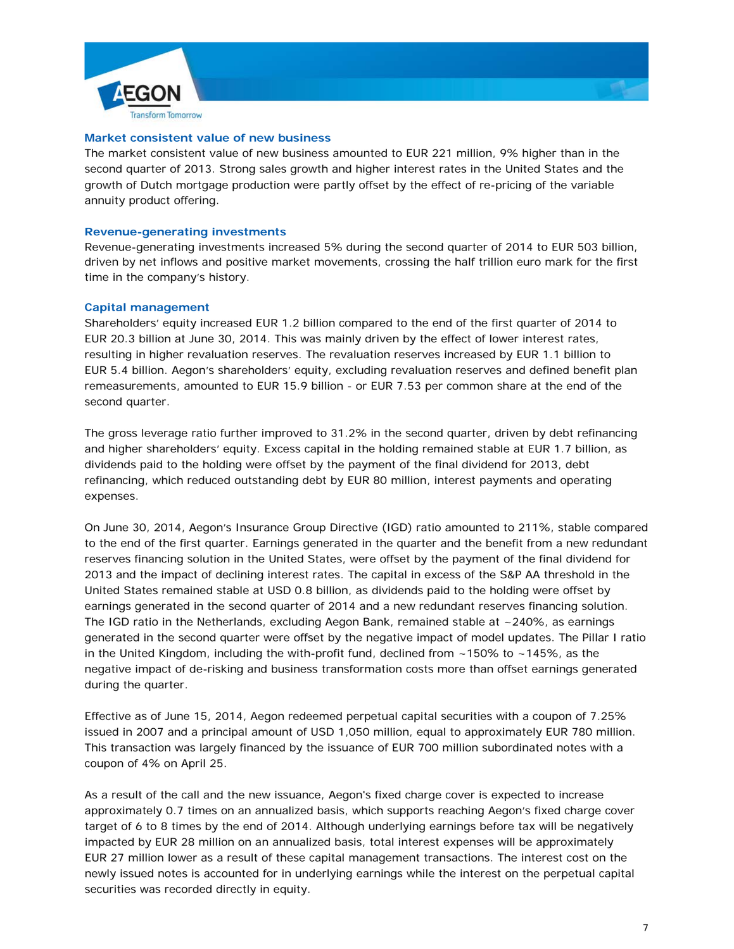



#### **Market consistent value of new business**

The market consistent value of new business amounted to EUR 221 million, 9% higher than in the second quarter of 2013. Strong sales growth and higher interest rates in the United States and the growth of Dutch mortgage production were partly offset by the effect of re-pricing of the variable annuity product offering.

#### **Revenue-generating investments**

Revenue-generating investments increased 5% during the second quarter of 2014 to EUR 503 billion, driven by net inflows and positive market movements, crossing the half trillion euro mark for the first time in the company's history.

#### **Capital management**

Shareholders' equity increased EUR 1.2 billion compared to the end of the first quarter of 2014 to EUR 20.3 billion at June 30, 2014. This was mainly driven by the effect of lower interest rates, resulting in higher revaluation reserves. The revaluation reserves increased by EUR 1.1 billion to EUR 5.4 billion. Aegon's shareholders' equity, excluding revaluation reserves and defined benefit plan remeasurements, amounted to EUR 15.9 billion - or EUR 7.53 per common share at the end of the second quarter.

The gross leverage ratio further improved to 31.2% in the second quarter, driven by debt refinancing and higher shareholders' equity. Excess capital in the holding remained stable at EUR 1.7 billion, as dividends paid to the holding were offset by the payment of the final dividend for 2013, debt refinancing, which reduced outstanding debt by EUR 80 million, interest payments and operating expenses.

On June 30, 2014, Aegon's Insurance Group Directive (IGD) ratio amounted to 211%, stable compared to the end of the first quarter. Earnings generated in the quarter and the benefit from a new redundant reserves financing solution in the United States, were offset by the payment of the final dividend for 2013 and the impact of declining interest rates. The capital in excess of the S&P AA threshold in the United States remained stable at USD 0.8 billion, as dividends paid to the holding were offset by earnings generated in the second quarter of 2014 and a new redundant reserves financing solution. The IGD ratio in the Netherlands, excluding Aegon Bank, remained stable at  $\sim$  240%, as earnings generated in the second quarter were offset by the negative impact of model updates. The Pillar I ratio in the United Kingdom, including the with-profit fund, declined from  $~150\%$  to  $~145\%$ , as the negative impact of de-risking and business transformation costs more than offset earnings generated during the quarter.

Effective as of June 15, 2014, Aegon redeemed perpetual capital securities with a coupon of 7.25% issued in 2007 and a principal amount of USD 1,050 million, equal to approximately EUR 780 million. This transaction was largely financed by the issuance of EUR 700 million subordinated notes with a coupon of 4% on April 25.

As a result of the call and the new issuance, Aegon's fixed charge cover is expected to increase approximately 0.7 times on an annualized basis, which supports reaching Aegon's fixed charge cover target of 6 to 8 times by the end of 2014. Although underlying earnings before tax will be negatively impacted by EUR 28 million on an annualized basis, total interest expenses will be approximately EUR 27 million lower as a result of these capital management transactions. The interest cost on the newly issued notes is accounted for in underlying earnings while the interest on the perpetual capital securities was recorded directly in equity.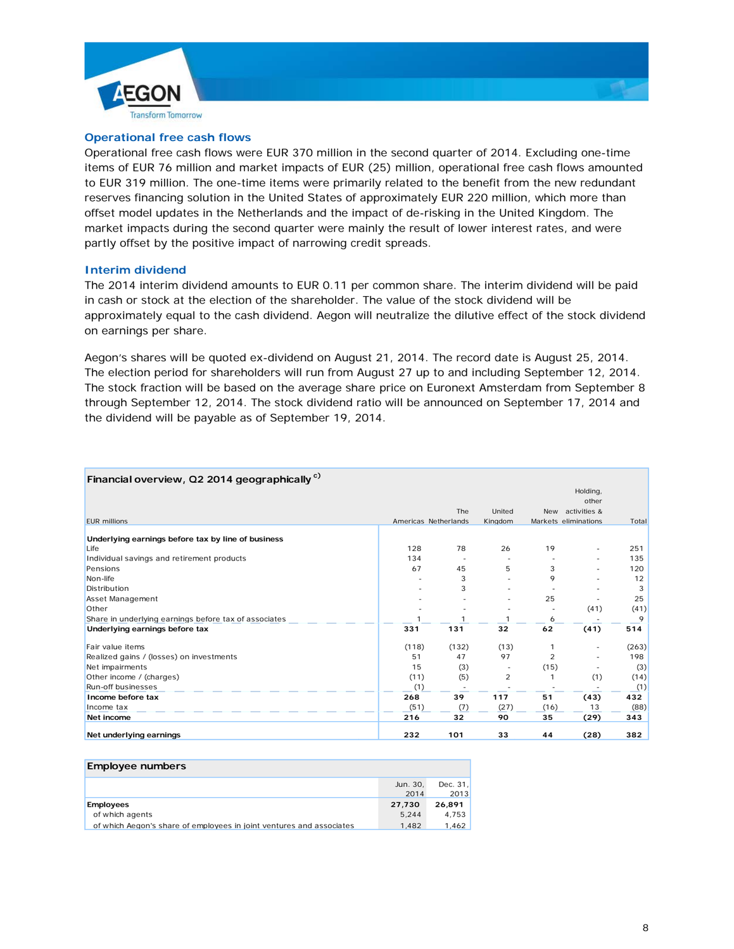



### **Operational free cash flows**

Operational free cash flows were EUR 370 million in the second quarter of 2014. Excluding one-time items of EUR 76 million and market impacts of EUR (25) million, operational free cash flows amounted to EUR 319 million. The one-time items were primarily related to the benefit from the new redundant reserves financing solution in the United States of approximately EUR 220 million, which more than offset model updates in the Netherlands and the impact of de-risking in the United Kingdom. The market impacts during the second quarter were mainly the result of lower interest rates, and were partly offset by the positive impact of narrowing credit spreads.

#### **Interim dividend**

The 2014 interim dividend amounts to EUR 0.11 per common share. The interim dividend will be paid in cash or stock at the election of the shareholder. The value of the stock dividend will be approximately equal to the cash dividend. Aegon will neutralize the dilutive effect of the stock dividend on earnings per share.

Aegon's shares will be quoted ex-dividend on August 21, 2014. The record date is August 25, 2014. The election period for shareholders will run from August 27 up to and including September 12, 2014. The stock fraction will be based on the average share price on Euronext Amsterdam from September 8 through September 12, 2014. The stock dividend ratio will be announced on September 17, 2014 and the dividend will be payable as of September 19, 2014.

| Financial overview, Q2 2014 geographically <sup>c)</sup> |       |                      |                |            |                      |       |
|----------------------------------------------------------|-------|----------------------|----------------|------------|----------------------|-------|
|                                                          |       |                      |                |            | Holding,             |       |
|                                                          |       |                      |                |            | other                |       |
|                                                          |       | The                  | United         | <b>New</b> | activities &         |       |
| <b>EUR</b> millions                                      |       | Americas Netherlands | Kingdom        |            | Markets eliminations | Total |
| Underlying earnings before tax by line of business       |       |                      |                |            |                      |       |
| Life                                                     | 128   | 78                   | 26             | 19         |                      | 251   |
| Individual savings and retirement products               | 134   |                      |                |            |                      | 135   |
| Pensions                                                 | 67    | 45                   | 5              | 3          |                      | 120   |
| Non-life                                                 |       | 3                    |                | 9          |                      | 12    |
| Distribution                                             |       | 3                    |                |            |                      | 3     |
| Asset Management                                         |       |                      |                | 25         |                      | 25    |
| Other                                                    |       |                      |                |            | (41)                 | (41)  |
| Share in underlying earnings before tax of associates    |       | 1                    | 1              | 6          |                      | 9     |
| Underlying earnings before tax                           | 331   | 131                  | 32             | 62         | (41)                 | 514   |
| Fair value items                                         | (118) | (132)                | (13)           |            |                      | (263) |
| Realized gains / (losses) on investments                 | 51    | 47                   | 97             | 2          |                      | 198   |
| Net impairments                                          | 15    | (3)                  |                | (15)       |                      | (3)   |
| Other income / (charges)                                 | (11)  | (5)                  | $\overline{2}$ |            | (1)                  | (14)  |
| Run-off businesses                                       | (1)   |                      |                |            |                      | (1)   |
| Income before tax                                        | 268   | 39                   | 117            | 51         | (43)                 | 432   |
| Income tax                                               | (51)  | (7)                  | (27)           | (16)       | 13                   | (88)  |
| Net income                                               | 216   | 32                   | 90             | 35         | (29)                 | 343   |
| Net underlying earnings                                  | 232   | 101                  | 33             | 44         | (28)                 | 382   |

| Employee numbers                                                     |          |          |
|----------------------------------------------------------------------|----------|----------|
|                                                                      | Jun. 30, | Dec. 31, |
|                                                                      | 2014     | 2013     |
| Employees                                                            | 27,730   | 26.891   |
| of which agents                                                      | 5.244    | 4.753    |
| of which Aegon's share of employees in joint ventures and associates | 1.482    | 1,462    |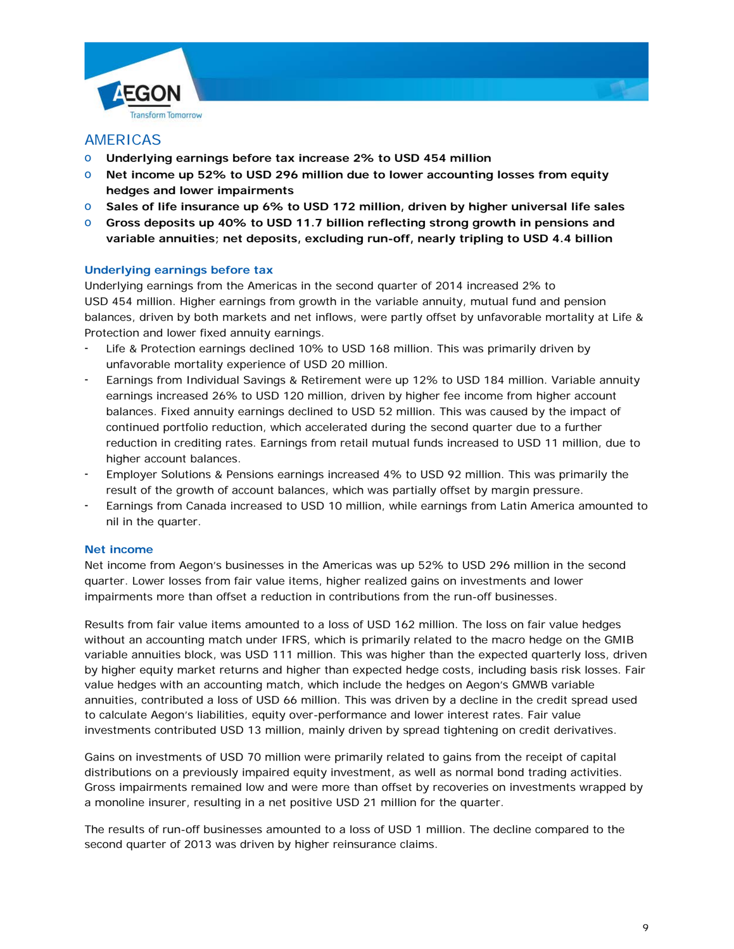



# AMERICAS

- o **Underlying earnings before tax increase 2% to USD 454 million**
- o **Net income up 52% to USD 296 million due to lower accounting losses from equity hedges and lower impairments**
- o **Sales of life insurance up 6% to USD 172 million, driven by higher universal life sales**
- o **Gross deposits up 40% to USD 11.7 billion reflecting strong growth in pensions and variable annuities; net deposits, excluding run-off, nearly tripling to USD 4.4 billion**

# **Underlying earnings before tax**

Underlying earnings from the Americas in the second quarter of 2014 increased 2% to USD 454 million. Higher earnings from growth in the variable annuity, mutual fund and pension balances, driven by both markets and net inflows, were partly offset by unfavorable mortality at Life & Protection and lower fixed annuity earnings.

- Life & Protection earnings declined 10% to USD 168 million. This was primarily driven by unfavorable mortality experience of USD 20 million.
- Earnings from Individual Savings & Retirement were up 12% to USD 184 million. Variable annuity earnings increased 26% to USD 120 million, driven by higher fee income from higher account balances. Fixed annuity earnings declined to USD 52 million. This was caused by the impact of continued portfolio reduction, which accelerated during the second quarter due to a further reduction in crediting rates. Earnings from retail mutual funds increased to USD 11 million, due to higher account balances.
- Employer Solutions & Pensions earnings increased 4% to USD 92 million. This was primarily the result of the growth of account balances, which was partially offset by margin pressure.
- Earnings from Canada increased to USD 10 million, while earnings from Latin America amounted to nil in the quarter.

# **Net income**

Net income from Aegon's businesses in the Americas was up 52% to USD 296 million in the second quarter. Lower losses from fair value items, higher realized gains on investments and lower impairments more than offset a reduction in contributions from the run-off businesses.

Results from fair value items amounted to a loss of USD 162 million. The loss on fair value hedges without an accounting match under IFRS, which is primarily related to the macro hedge on the GMIB variable annuities block, was USD 111 million. This was higher than the expected quarterly loss, driven by higher equity market returns and higher than expected hedge costs, including basis risk losses. Fair value hedges with an accounting match, which include the hedges on Aegon's GMWB variable annuities, contributed a loss of USD 66 million. This was driven by a decline in the credit spread used to calculate Aegon's liabilities, equity over-performance and lower interest rates. Fair value investments contributed USD 13 million, mainly driven by spread tightening on credit derivatives.

Gains on investments of USD 70 million were primarily related to gains from the receipt of capital distributions on a previously impaired equity investment, as well as normal bond trading activities. Gross impairments remained low and were more than offset by recoveries on investments wrapped by a monoline insurer, resulting in a net positive USD 21 million for the quarter.

The results of run-off businesses amounted to a loss of USD 1 million. The decline compared to the second quarter of 2013 was driven by higher reinsurance claims.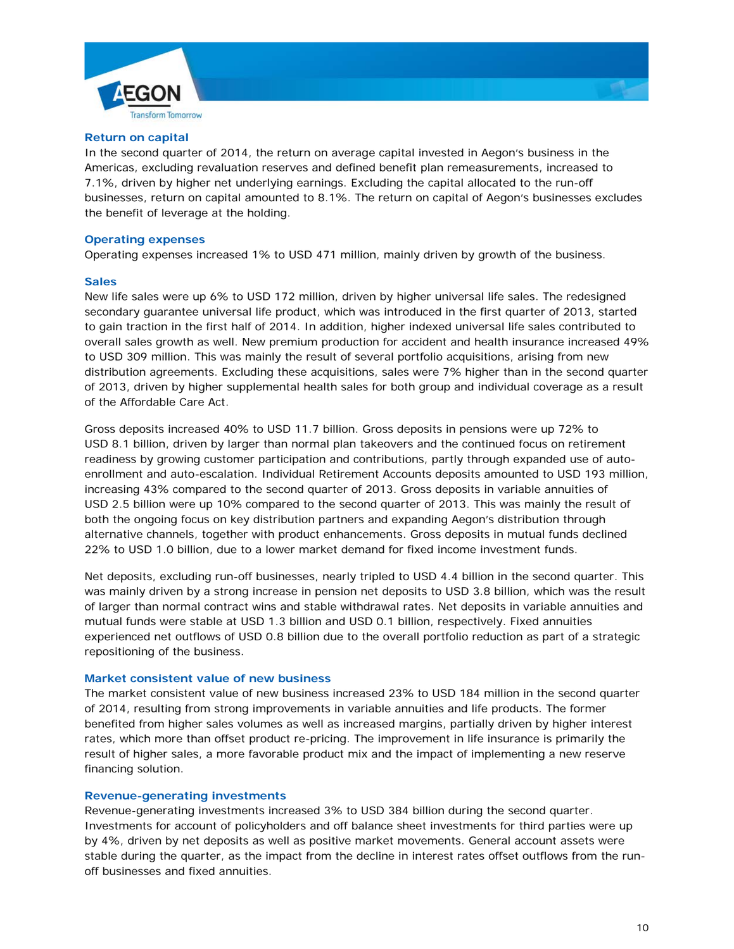



#### **Return on capital**

In the second quarter of 2014, the return on average capital invested in Aegon's business in the Americas, excluding revaluation reserves and defined benefit plan remeasurements, increased to 7.1%, driven by higher net underlying earnings. Excluding the capital allocated to the run-off businesses, return on capital amounted to 8.1%. The return on capital of Aegon's businesses excludes the benefit of leverage at the holding.

#### **Operating expenses**

Operating expenses increased 1% to USD 471 million, mainly driven by growth of the business.

#### **Sales**

New life sales were up 6% to USD 172 million, driven by higher universal life sales. The redesigned secondary guarantee universal life product, which was introduced in the first quarter of 2013, started to gain traction in the first half of 2014. In addition, higher indexed universal life sales contributed to overall sales growth as well. New premium production for accident and health insurance increased 49% to USD 309 million. This was mainly the result of several portfolio acquisitions, arising from new distribution agreements. Excluding these acquisitions, sales were 7% higher than in the second quarter of 2013, driven by higher supplemental health sales for both group and individual coverage as a result of the Affordable Care Act.

Gross deposits increased 40% to USD 11.7 billion. Gross deposits in pensions were up 72% to USD 8.1 billion, driven by larger than normal plan takeovers and the continued focus on retirement readiness by growing customer participation and contributions, partly through expanded use of autoenrollment and auto-escalation. Individual Retirement Accounts deposits amounted to USD 193 million, increasing 43% compared to the second quarter of 2013. Gross deposits in variable annuities of USD 2.5 billion were up 10% compared to the second quarter of 2013. This was mainly the result of both the ongoing focus on key distribution partners and expanding Aegon's distribution through alternative channels, together with product enhancements. Gross deposits in mutual funds declined 22% to USD 1.0 billion, due to a lower market demand for fixed income investment funds.

Net deposits, excluding run-off businesses, nearly tripled to USD 4.4 billion in the second quarter. This was mainly driven by a strong increase in pension net deposits to USD 3.8 billion, which was the result of larger than normal contract wins and stable withdrawal rates. Net deposits in variable annuities and mutual funds were stable at USD 1.3 billion and USD 0.1 billion, respectively. Fixed annuities experienced net outflows of USD 0.8 billion due to the overall portfolio reduction as part of a strategic repositioning of the business.

### **Market consistent value of new business**

The market consistent value of new business increased 23% to USD 184 million in the second quarter of 2014, resulting from strong improvements in variable annuities and life products. The former benefited from higher sales volumes as well as increased margins, partially driven by higher interest rates, which more than offset product re-pricing. The improvement in life insurance is primarily the result of higher sales, a more favorable product mix and the impact of implementing a new reserve financing solution.

#### **Revenue-generating investments**

Revenue-generating investments increased 3% to USD 384 billion during the second quarter. Investments for account of policyholders and off balance sheet investments for third parties were up by 4%, driven by net deposits as well as positive market movements. General account assets were stable during the quarter, as the impact from the decline in interest rates offset outflows from the runoff businesses and fixed annuities.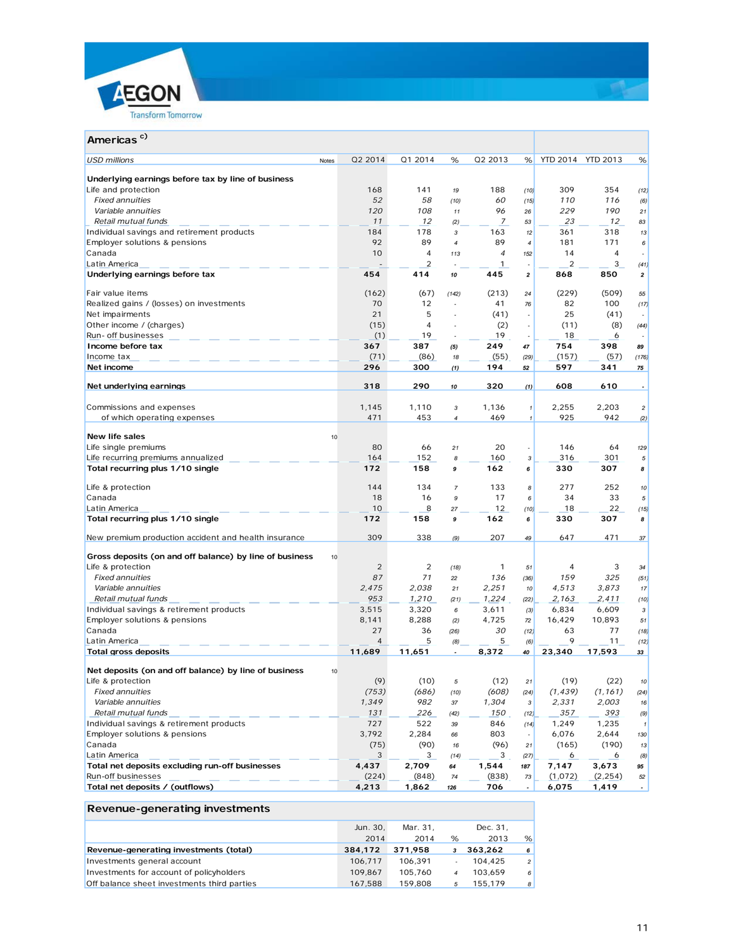



# **Americas c)**

| USD millions<br>Notes                                   | Q2 2014        | Q1 2014        | %                | Q2 2013        | %                        |          | YTD 2014 YTD 2013 | %                        |
|---------------------------------------------------------|----------------|----------------|------------------|----------------|--------------------------|----------|-------------------|--------------------------|
| Underlying earnings before tax by line of business      |                |                |                  |                |                          |          |                   |                          |
| Life and protection                                     | 168            | 141            | 19               | 188            | (10)                     | 309      | 354               | (12)                     |
| <b>Fixed annuities</b>                                  | 52             | 58             | (10)             | 60             | (15)                     | 110      | 116               | (6)                      |
| Variable annuities                                      | 120            | 108            | 11               | 96             | 26                       | 229      | 190               | 21                       |
| Retail mutual funds                                     | 11             | 12             | (2)              | 7              | 53                       | 23       | 12                | 83                       |
| Individual savings and retirement products              | 184            | 178            | 3                | 163            | 12                       | 361      | 318               | 13                       |
| Employer solutions & pensions                           | 92             | 89             | $\boldsymbol{4}$ | 89             | $\overline{4}$           | 181      | 171               | 6                        |
| Canada                                                  | 10             | 4              | 113              | $\overline{4}$ | 152                      | 14       | 4                 |                          |
| Latin America                                           |                | $\overline{2}$ |                  | $\mathbf{1}$   | $\overline{\phantom{a}}$ | 2        | 3                 | (41)                     |
| Underlying earnings before tax                          | 454            | 414            | 10               | 445            | $\overline{\mathbf{2}}$  | 868      | 850               | $\overline{\mathbf{2}}$  |
| Fair value items                                        | (162)          | (67)           | (142)            | (213)          | 24                       | (229)    | (509)             | 55                       |
| Realized gains / (losses) on investments                | 70             | 12             | $\sim$           | 41             | 76                       | 82       | 100               | (17)                     |
| Net impairments                                         | 21             | 5              | $\sim$           | (41)           | $\overline{\phantom{a}}$ | 25       | (41)              |                          |
| Other income / (charges)                                | (15)           | 4              |                  | (2)            |                          | (11)     | (8)               | (44)                     |
| Run- off businesses                                     | (1)            | 19             |                  | 19             | $\overline{\phantom{a}}$ | 18       | 6                 |                          |
| Income before tax                                       | 367            | 387            | (5)              | 249            | 47                       | 754      | 398               | 89                       |
| Income tax                                              | (71)           | (86)           | 18               | (55)           | (29)                     | (157)    | (57)              | (176)                    |
| Net income                                              | 296            | 300            | (1)              | 194            | 52                       | 597      | 341               | 75                       |
| Net underlying earnings                                 | 318            | 290            | 10               | 320            | (1)                      | 608      | 610               | $\overline{\phantom{a}}$ |
| Commissions and expenses                                | 1,145          | 1,110          | $\sqrt{3}$       | 1,136          | $\pmb{\mathcal{I}}$      | 2,255    | 2,203             | $\overline{a}$           |
| of which operating expenses                             | 471            | 453            | $\boldsymbol{4}$ | 469            | $\pmb{\mathcal{I}}$      | 925      | 942               | (2)                      |
|                                                         |                |                |                  |                |                          |          |                   |                          |
| New life sales                                          | 10             |                |                  |                |                          |          |                   |                          |
| Life single premiums                                    | 80             | 66             | 21               | 20             |                          | 146      | 64                | 129                      |
| Life recurring premiums annualized                      | 164            | 152            | 8                | 160            | 3                        | 316      | 301               | 5                        |
| Total recurring plus 1/10 single                        | 172            | 158            | 9                | 162            | 6                        | 330      | 307               | 8                        |
| Life & protection                                       | 144            | 134            | $\overline{7}$   | 133            | 8                        | 277      | 252               | 10                       |
| Canada                                                  | 18             | 16             | 9                | 17             | 6                        | 34       | 33                | 5                        |
| Latin America                                           | 10             | 8              | 27               | 12             | (10)                     | 18       | 22                | (15)                     |
| Total recurring plus 1/10 single                        | 172            | 158            | 9                | 162            | 6                        | 330      | 307               | 8                        |
| New premium production accident and health insurance    | 309            | 338            | (9)              | 207            | 49                       | 647      | 471               | 37                       |
| Gross deposits (on and off balance) by line of business | 10             |                |                  |                |                          |          |                   |                          |
| Life & protection                                       | $\overline{2}$ | $\overline{2}$ | (18)             | $\mathbf{1}$   | 51                       | 4        | 3                 | 34                       |
| <b>Fixed annuities</b>                                  | 87             | 71             | 22               | 136            | (36)                     | 159      | 325               | (51)                     |
| Variable annuities                                      | 2,475          | 2,038          | 21               | 2,251          | 10 <sup>1</sup>          | 4,513    | 3,873             | 17                       |
| Retail mutual funds                                     | 953            | 1,210          | (21)             | 1,224          | (22)                     | 2,163    | 2,411             | (10)                     |
| Individual savings & retirement products                | 3,515          | 3,320          | 6                | 3,611          | (3)                      | 6,834    | 6,609             | 3                        |
| Employer solutions & pensions                           | 8,141          | 8,288          | (2)              | 4,725          | $\mathbf{72}$            | 16,429   | 10,893            | 51                       |
| Canada                                                  | 27             | 36             | (26)             | 30             | (12)                     | 63       | 77                | (18)                     |
| Latin America                                           | $\overline{4}$ | 5              | (8)              | 5              | (6)                      | 9        | 11                | (12)                     |
| <b>Total gross deposits</b>                             | 11,689         | 11,651         |                  | 8,372          | 40                       | 23,340   | 17,593            | 33                       |
| Net deposits (on and off balance) by line of business   | 10             |                |                  |                |                          |          |                   |                          |
| Life & protection                                       | (9)            | (10)           | 5                | (12)           | 21                       | (19)     | (22)              | 10                       |
| <b>Fixed annuities</b>                                  | (753)          | (686)          | (10)             | (608)          | (24)                     | (1, 439) | (1, 161)          | (24)                     |
| Variable annuities                                      | 1,349          | 982            | 37               | 1,304          | 3                        | 2,331    | 2,003             | 16                       |
| Retail mutual funds                                     | 131            | 226            | (42)             | 150            | (12)                     | 357      | 393               | (9)                      |
| Individual savings & retirement products                | 727            | 522            | 39               | 846            | (14)                     | 1,249    | 1,235             | $\overline{1}$           |
| Employer solutions & pensions                           | 3,792          | 2,284          | 66               | 803            |                          | 6,076    | 2,644             | 130                      |
| Canada                                                  | (75)           | (90)           | 16               | (96)           | 21                       | (165)    | (190)             | 13                       |
| Latin America                                           | 3              | 3              | (14)             | 3              | (27)                     | 6        | 6                 | (8)                      |
| Total net deposits excluding run-off businesses         | 4,437          | 2,709          | 64               | 1,544          | 187                      | 7,147    | 3,673             | 95                       |
| Run-off businesses                                      | (224)          | (848)          | 74               | (838)          | 73                       | (1,072)  | (2, 254)          | 52                       |
| Total net deposits / (outflows)                         | 4,213          | 1,862          | 126              | 706            | $\overline{\phantom{a}}$ | 6,075    | 1,419             | $\overline{\phantom{a}}$ |

# **Revenue-generating investments**

|                                             | Jun. 30. | Mar. 31. |                | Dec. 31. |                |
|---------------------------------------------|----------|----------|----------------|----------|----------------|
|                                             | 2014     | 2014     | %              | 2013     | %              |
| Revenue-generating investments (total)      | 384,172  | 371.958  | 3              | 363.262  | 6              |
| Investments general account                 | 106.717  | 106.391  |                | 104.425  | $\overline{2}$ |
| Investments for account of policyholders    | 109.867  | 105.760  | $\overline{4}$ | 103.659  | 6              |
| Off balance sheet investments third parties | 167.588  | 159.808  |                | 155.179  | 8              |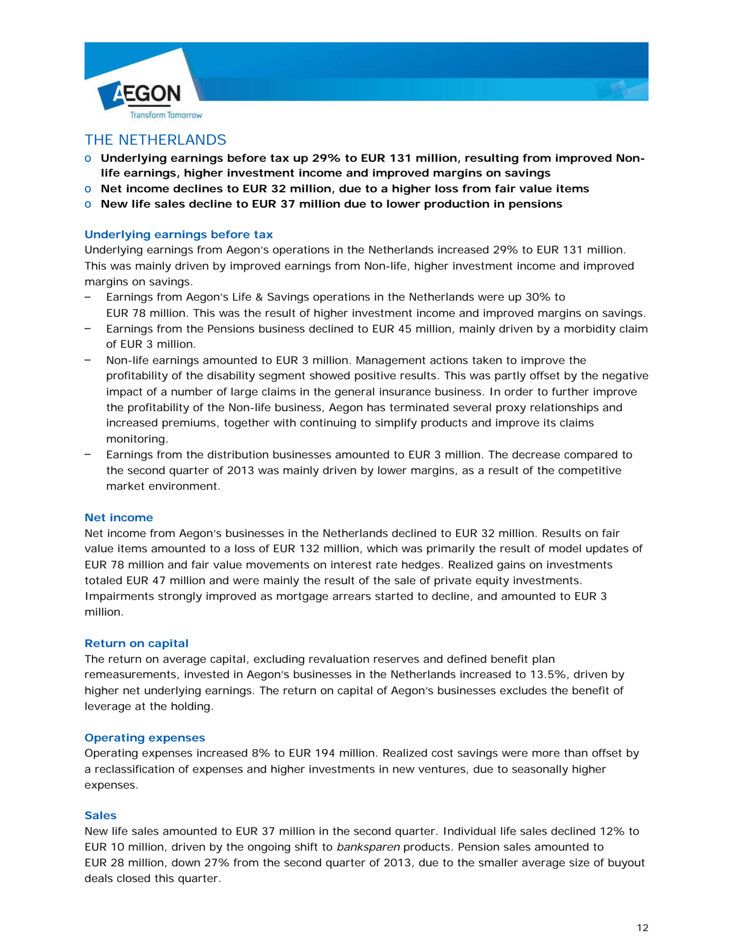



# THE NETHERLANDS

- o **Underlying earnings before tax up 29% to EUR 131 million, resulting from improved Nonlife earnings, higher investment income and improved margins on savings**
- o **Net income declines to EUR 32 million, due to a higher loss from fair value items**
- o **New life sales decline to EUR 37 million due to lower production in pensions**

### **Underlying earnings before tax**

Underlying earnings from Aegon's operations in the Netherlands increased 29% to EUR 131 million. This was mainly driven by improved earnings from Non-life, higher investment income and improved margins on savings.

- Earnings from Aegon's Life & Savings operations in the Netherlands were up 30% to EUR 78 million. This was the result of higher investment income and improved margins on savings.
- Earnings from the Pensions business declined to EUR 45 million, mainly driven by a morbidity claim of EUR 3 million.
- Non-life earnings amounted to EUR 3 million. Management actions taken to improve the profitability of the disability segment showed positive results. This was partly offset by the negative impact of a number of large claims in the general insurance business. In order to further improve the profitability of the Non-life business, Aegon has terminated several proxy relationships and increased premiums, together with continuing to simplify products and improve its claims monitoring.
- Earnings from the distribution businesses amounted to EUR 3 million. The decrease compared to the second quarter of 2013 was mainly driven by lower margins, as a result of the competitive market environment.

#### **Net income**

Net income from Aegon's businesses in the Netherlands declined to EUR 32 million. Results on fair value items amounted to a loss of EUR 132 million, which was primarily the result of model updates of EUR 78 million and fair value movements on interest rate hedges. Realized gains on investments totaled EUR 47 million and were mainly the result of the sale of private equity investments. Impairments strongly improved as mortgage arrears started to decline, and amounted to EUR 3 million.

#### **Return on capital**

The return on average capital, excluding revaluation reserves and defined benefit plan remeasurements, invested in Aegon's businesses in the Netherlands increased to 13.5%, driven by higher net underlying earnings. The return on capital of Aegon's businesses excludes the benefit of leverage at the holding.

#### **Operating expenses**

Operating expenses increased 8% to EUR 194 million. Realized cost savings were more than offset by a reclassification of expenses and higher investments in new ventures, due to seasonally higher expenses.

#### **Sales**

New life sales amounted to EUR 37 million in the second quarter. Individual life sales declined 12% to EUR 10 million, driven by the ongoing shift to *banksparen* products. Pension sales amounted to EUR 28 million, down 27% from the second quarter of 2013, due to the smaller average size of buyout deals closed this quarter.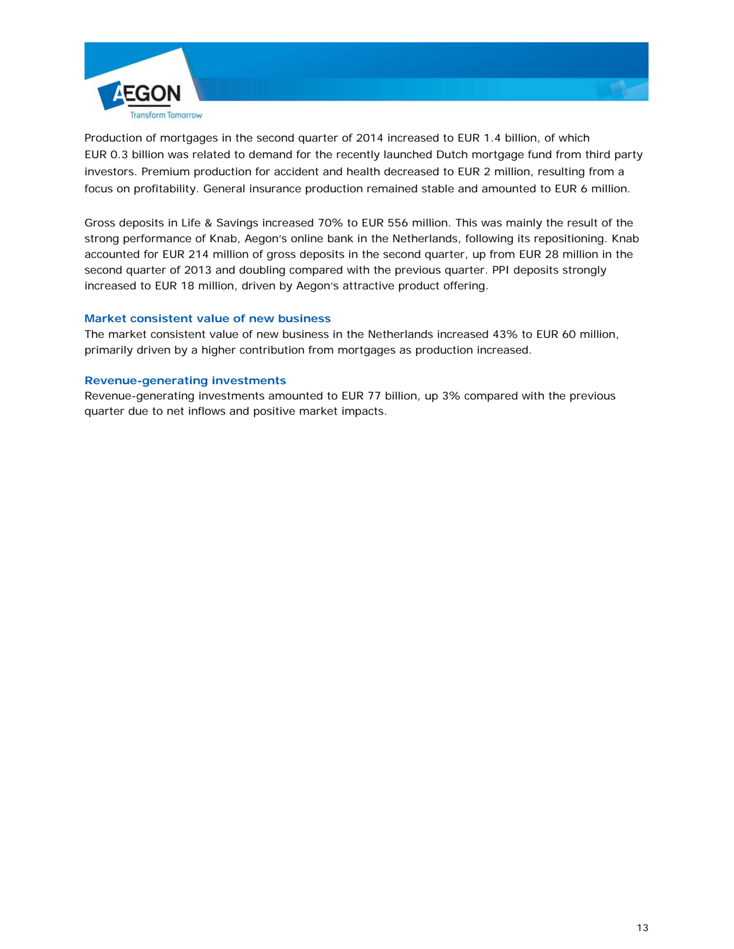

Production of mortgages in the second quarter of 2014 increased to EUR 1.4 billion, of which EUR 0.3 billion was related to demand for the recently launched Dutch mortgage fund from third party investors. Premium production for accident and health decreased to EUR 2 million, resulting from a focus on profitability. General insurance production remained stable and amounted to EUR 6 million.

Gross deposits in Life & Savings increased 70% to EUR 556 million. This was mainly the result of the strong performance of Knab, Aegon's online bank in the Netherlands, following its repositioning. Knab accounted for EUR 214 million of gross deposits in the second quarter, up from EUR 28 million in the second quarter of 2013 and doubling compared with the previous quarter. PPI deposits strongly increased to EUR 18 million, driven by Aegon's attractive product offering.

# **Market consistent value of new business**

The market consistent value of new business in the Netherlands increased 43% to EUR 60 million, primarily driven by a higher contribution from mortgages as production increased.

### **Revenue-generating investments**

Revenue-generating investments amounted to EUR 77 billion, up 3% compared with the previous quarter due to net inflows and positive market impacts.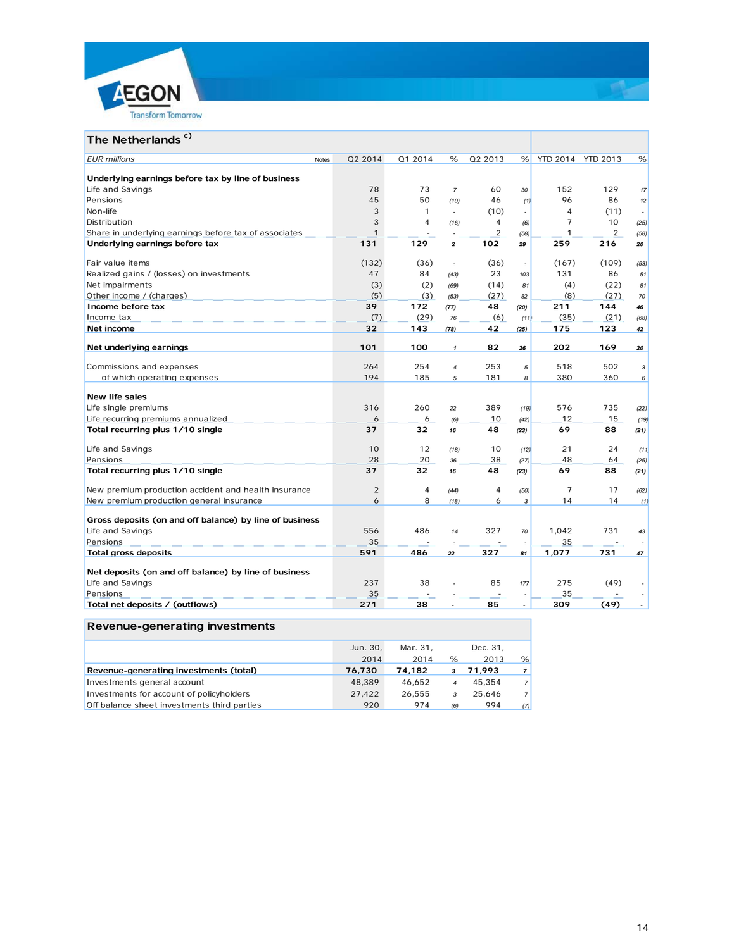



# **The Netherlands<sup>c)</sup>**

| <b>EUR</b> millions                                                    | <b>Notes</b> | 02 2014      | Q1 2014 | %                       | 02 2013        | %                        | YTD 2014 YTD 2013 |                | %            |
|------------------------------------------------------------------------|--------------|--------------|---------|-------------------------|----------------|--------------------------|-------------------|----------------|--------------|
|                                                                        |              |              |         |                         |                |                          |                   |                |              |
| Underlying earnings before tax by line of business<br>Life and Savings |              | 78           | 73      | $\overline{7}$          | 60             | 30                       | 152               | 129            |              |
| Pensions                                                               |              | 45           | 50      | (10)                    | 46             | (1)                      | 96                | 86             | 17<br>12     |
| Non-life                                                               |              | 3            | 1       | ÷                       | (10)           | $\overline{\phantom{a}}$ | 4                 | (11)           | $\sim$       |
| Distribution                                                           |              | 3            | 4       |                         | 4              |                          | 7                 | 10             |              |
| Share in underlying earnings before tax of associates                  |              | $\mathbf{1}$ |         | (16)                    | $\overline{2}$ | (6)<br>(58)              | 1                 | $\overline{2}$ | (25)<br>(58) |
| Underlying earnings before tax                                         |              | 131          | 129     | $\overline{\mathbf{z}}$ | 102            | 29                       | 259               | 216            | 20           |
|                                                                        |              |              |         |                         |                |                          |                   |                |              |
| Fair value items                                                       |              | (132)        | (36)    | $\sim$                  | (36)           | $\overline{\phantom{a}}$ | (167)             | (109)          | (53)         |
| Realized gains / (losses) on investments                               |              | 47           | 84      | (43)                    | 23             | 103                      | 131               | 86             | 51           |
| Net impairments                                                        |              | (3)          | (2)     | (69)                    | (14)           | 81                       | (4)               | (22)           | 81           |
| Other income / (charges)                                               |              | (5)          | (3)     | (53)                    | (27)           | 82                       | (8)               | (27)           | 70           |
| Income before tax                                                      |              | 39           | 172     | (77)                    | 48             | (20)                     | 211               | 144            | 46           |
| Income tax                                                             |              | (7)          | (29)    | 76                      | (6)            | (11)                     | (35)              | (21)           | (68)         |
| Net income                                                             |              | 32           | 143     | (78)                    | 42             | (25)                     | 175               | 123            | 42           |
|                                                                        |              | 101          | 100     |                         | 82             |                          | 202               | 169            |              |
| Net underlying earnings                                                |              |              |         | $\mathbf{1}$            |                | 26                       |                   |                | 20           |
| Commissions and expenses                                               |              | 264          | 254     | $\overline{4}$          | 253            | 5                        | 518               | 502            | 3            |
| of which operating expenses                                            |              | 194          | 185     | 5                       | 181            | 8                        | 380               | 360            | 6            |
|                                                                        |              |              |         |                         |                |                          |                   |                |              |
| <b>New life sales</b>                                                  |              |              |         |                         |                |                          |                   |                |              |
| Life single premiums                                                   |              | 316          | 260     | 22                      | 389            | (19)                     | 576               | 735            | (22)         |
| Life recurring premiums annualized                                     |              | 6            | 6       | (6)                     | 10             | (42)                     | 12                | 15             | (19)         |
| Total recurring plus 1/10 single                                       |              | 37           | 32      | 16                      | 48             | (23)                     | 69                | 88             | (21)         |
| Life and Savings                                                       |              | 10           | 12      | (18)                    | 10             | (12)                     | 21                | 24             | (11)         |
| Pensions                                                               |              | 28           | 20      | 36                      | 38             | (27)                     | 48                | 64             | (25)         |
| Total recurring plus 1/10 single                                       |              | 37           | 32      | 16                      | 48             | (23)                     | 69                | 88             | (21)         |
|                                                                        |              |              |         |                         |                |                          |                   |                |              |
| New premium production accident and health insurance                   |              | 2            | 4       | (44)                    | $\overline{4}$ | (50)                     | 7                 | 17             | (62)         |
| New premium production general insurance                               |              | 6            | 8       | (18)                    | 6              | 3                        | 14                | 14             | (1)          |
| Gross deposits (on and off balance) by line of business                |              |              |         |                         |                |                          |                   |                |              |
| Life and Savings                                                       |              | 556          | 486     | 14                      | 327            | 70                       | 1,042             | 731            | 43           |
| Pensions                                                               |              | 35           |         |                         |                | ٠                        | 35                |                |              |
| <b>Total gross deposits</b>                                            |              | 591          | 486     | 22                      | 327            | 81                       | 1,077             | 731            | 47           |
|                                                                        |              |              |         |                         |                |                          |                   |                |              |
| Net deposits (on and off balance) by line of business                  |              |              |         |                         |                |                          |                   |                |              |
| Life and Savings                                                       |              | 237          | 38      |                         | 85             | 177                      | 275               | (49)           |              |
| Pensions                                                               |              | 35           |         |                         |                | $\overline{\phantom{a}}$ | 35                |                |              |
| Total net deposits / (outflows)                                        |              | 271          | 38      |                         | 85             | $\overline{a}$           | 309               | (49)           |              |

# **Revenue-generating investments**

|                                             | Jun. 30, | Mar. 31. |     | Dec. 31, |                |
|---------------------------------------------|----------|----------|-----|----------|----------------|
|                                             | 2014     | 2014     | %   | 2013     | %              |
| Revenue-generating investments (total)      | 76,730   | 74.182   | 3   | 71.993   | $\overline{7}$ |
| Investments general account                 | 48.389   | 46.652   |     | 45.354   | $\overline{7}$ |
| Investments for account of policyholders    | 27.422   | 26.555   | 3   | 25.646   | $\overline{7}$ |
| Off balance sheet investments third parties | 920      | 974      | (6) | 994      | (7)            |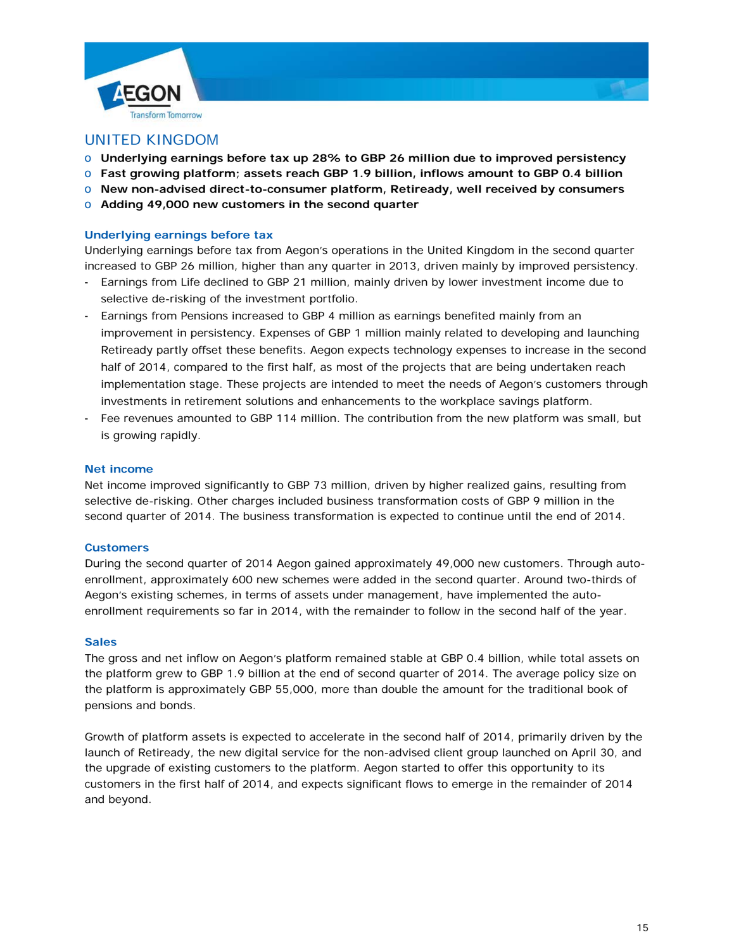



# UNITED KINGDOM

- o **Underlying earnings before tax up 28% to GBP 26 million due to improved persistency**
- o **Fast growing platform; assets reach GBP 1.9 billion, inflows amount to GBP 0.4 billion**
- o **New non-advised direct-to-consumer platform, Retiready, well received by consumers**
- o **Adding 49,000 new customers in the second quarter**

### **Underlying earnings before tax**

Underlying earnings before tax from Aegon's operations in the United Kingdom in the second quarter increased to GBP 26 million, higher than any quarter in 2013, driven mainly by improved persistency.

- Earnings from Life declined to GBP 21 million, mainly driven by lower investment income due to selective de-risking of the investment portfolio.
- Earnings from Pensions increased to GBP 4 million as earnings benefited mainly from an improvement in persistency. Expenses of GBP 1 million mainly related to developing and launching Retiready partly offset these benefits. Aegon expects technology expenses to increase in the second half of 2014, compared to the first half, as most of the projects that are being undertaken reach implementation stage. These projects are intended to meet the needs of Aegon's customers through investments in retirement solutions and enhancements to the workplace savings platform.
- Fee revenues amounted to GBP 114 million. The contribution from the new platform was small, but is growing rapidly.

#### **Net income**

Net income improved significantly to GBP 73 million, driven by higher realized gains, resulting from selective de-risking. Other charges included business transformation costs of GBP 9 million in the second quarter of 2014. The business transformation is expected to continue until the end of 2014.

#### **Customers**

During the second quarter of 2014 Aegon gained approximately 49,000 new customers. Through autoenrollment, approximately 600 new schemes were added in the second quarter. Around two-thirds of Aegon's existing schemes, in terms of assets under management, have implemented the autoenrollment requirements so far in 2014, with the remainder to follow in the second half of the year.

#### **Sales**

The gross and net inflow on Aegon's platform remained stable at GBP 0.4 billion, while total assets on the platform grew to GBP 1.9 billion at the end of second quarter of 2014. The average policy size on the platform is approximately GBP 55,000, more than double the amount for the traditional book of pensions and bonds.

Growth of platform assets is expected to accelerate in the second half of 2014, primarily driven by the launch of Retiready, the new digital service for the non-advised client group launched on April 30, and the upgrade of existing customers to the platform. Aegon started to offer this opportunity to its customers in the first half of 2014, and expects significant flows to emerge in the remainder of 2014 and beyond.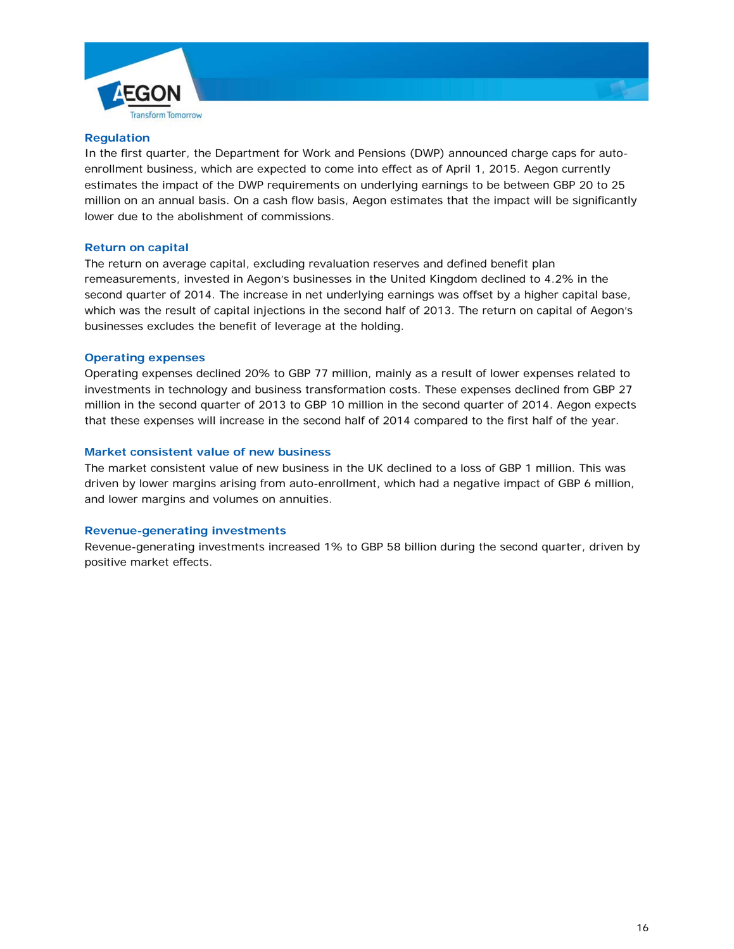



### **Regulation**

In the first quarter, the Department for Work and Pensions (DWP) announced charge caps for autoenrollment business, which are expected to come into effect as of April 1, 2015. Aegon currently estimates the impact of the DWP requirements on underlying earnings to be between GBP 20 to 25 million on an annual basis. On a cash flow basis, Aegon estimates that the impact will be significantly lower due to the abolishment of commissions.

### **Return on capital**

The return on average capital, excluding revaluation reserves and defined benefit plan remeasurements, invested in Aegon's businesses in the United Kingdom declined to 4.2% in the second quarter of 2014. The increase in net underlying earnings was offset by a higher capital base, which was the result of capital injections in the second half of 2013. The return on capital of Aegon's businesses excludes the benefit of leverage at the holding.

### **Operating expenses**

Operating expenses declined 20% to GBP 77 million, mainly as a result of lower expenses related to investments in technology and business transformation costs. These expenses declined from GBP 27 million in the second quarter of 2013 to GBP 10 million in the second quarter of 2014. Aegon expects that these expenses will increase in the second half of 2014 compared to the first half of the year.

### **Market consistent value of new business**

The market consistent value of new business in the UK declined to a loss of GBP 1 million. This was driven by lower margins arising from auto-enrollment, which had a negative impact of GBP 6 million, and lower margins and volumes on annuities.

# **Revenue-generating investments**

Revenue-generating investments increased 1% to GBP 58 billion during the second quarter, driven by positive market effects.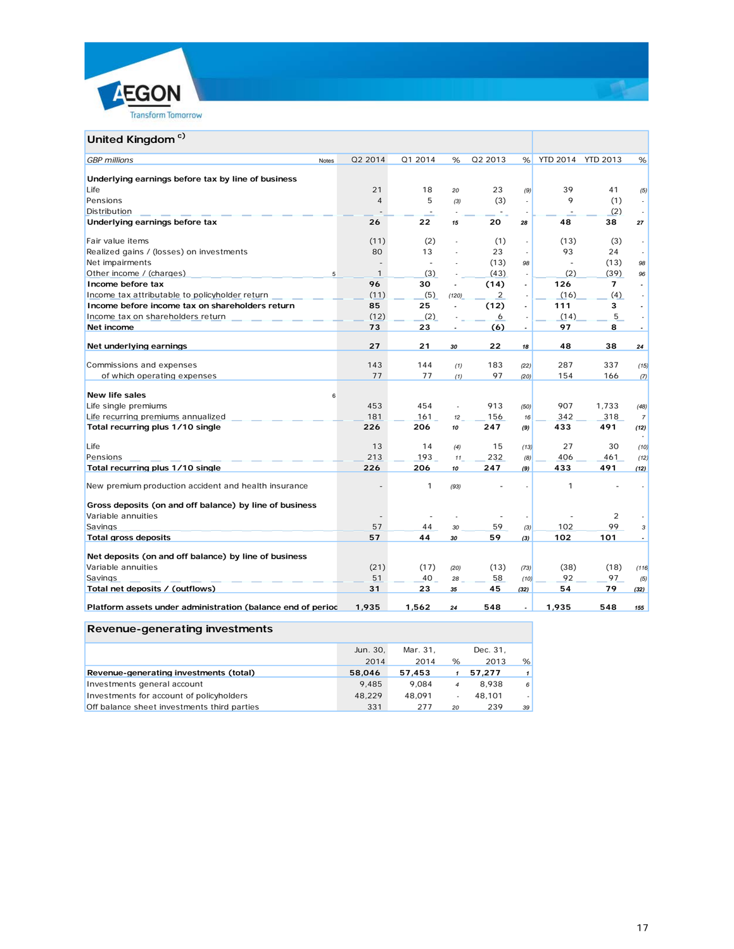



# **United Kingdom<sup>c)</sup>**

| Q2 2014<br>Q1 2014<br>Q2 2013<br>YTD 2014 YTD 2013<br><b>GBP</b> millions<br>%<br>%<br>%<br><b>Notes</b><br>Underlying earnings before tax by line of business<br>23<br>Life<br>21<br>18<br>39<br>41<br>(9)<br>20<br>(5)<br>$\overline{4}$<br>5<br>(3)<br>9<br>Pensions<br>(1)<br>(3)<br>÷.<br>$\sim$<br>(2)<br>Distribution<br>ä,<br>Underlying earnings before tax<br>26<br>22<br>38<br>20<br>48<br>15<br>28<br>27<br>Fair value items<br>(11)<br>(2)<br>(1)<br>(13)<br>(3)<br>÷,<br>80<br>13<br>23<br>93<br>24<br>Realized gains / (losses) on investments<br>÷,<br>Net impairments<br>(13)<br>(13)<br>98<br>÷.<br>98<br>$\overline{a}$<br>Other income / (charges)<br>(43)<br>(2)<br>(39)<br>1<br>(3)<br>96<br>5<br>÷.<br>Income before tax<br>96<br>(14)<br>126<br>30<br>$\overline{7}$<br>$\overline{a}$<br>$\overline{\phantom{a}}$<br>$\overline{\phantom{a}}$<br>(11)<br>(5)<br>$\overline{2}$<br>(16)<br>(4)<br>Income tax attributable to policyholder return<br>(120)<br>÷.<br>$\sim$<br>85<br>25<br>(12)<br>Income before income tax on shareholders return<br>111<br>3<br>$\overline{\phantom{a}}$<br>$\overline{a}$<br>(12)<br>(2)<br>5<br>Income tax on shareholders return<br>(14)<br>6<br>÷,<br>73<br>(6)<br>97<br>Net income<br>23<br>8<br>$\blacksquare$<br>27<br>22<br>Net underlying earnings<br>21<br>48<br>38<br>30<br>18<br>24<br>143<br>144<br>183<br>287<br>337<br>Commissions and expenses<br>(1)<br>(22)<br>(15)<br>97<br>77<br>77<br>154<br>of which operating expenses<br>166<br>(1)<br>(20)<br>(7)<br><b>New life sales</b><br>6<br>453<br>454<br>Life single premiums<br>913<br>907<br>1,733<br>$\hat{\mathbf{z}}$<br>(50)<br>(48)<br>181<br>156<br>318<br>Life recurring premiums annualized<br>161<br>342<br>12 <sup>2</sup><br>16<br>$\overline{7}$<br>Total recurring plus 1/10 single<br>226<br>206<br>247<br>433<br>491<br>(9)<br>(12)<br>10<br>Life<br>13<br>14<br>15<br>27<br>30<br>(10)<br>(4)<br>(13)<br>213<br>193<br>232<br>406<br>Pensions<br>461<br>11<br>(8)<br>(12)<br>226<br>Total recurring plus 1/10 single<br>206<br>247<br>433<br>491<br>(9)<br>(12)<br>10<br>1<br>$\mathbf{1}$<br>New premium production accident and health insurance<br>(93)<br>Gross deposits (on and off balance) by line of business<br>Variable annuities<br>2<br>Savings<br>59<br>102<br>99<br>57<br>44<br>30<br>(3)<br>3<br><b>Total gross deposits</b><br>59<br>102<br>57<br>44<br>101<br>30<br>(3)<br>Net deposits (on and off balance) by line of business<br>Variable annuities<br>(21)<br>(17)<br>(38)<br>(13)<br>(18)<br>(20)<br>(73)<br>(116)<br>51<br>40<br>58<br>92<br>97<br>Savings<br>28<br>(10)<br>(5)<br>31<br>45<br>54<br>79<br>Total net deposits / (outflows)<br>23<br>35<br>(32)<br>(32)<br>Platform assets under administration (balance end of period<br>1,935<br>1,562<br>548<br>1,935<br>548<br>24<br>$\overline{a}$<br>155 |  |  |  |  |  |
|---------------------------------------------------------------------------------------------------------------------------------------------------------------------------------------------------------------------------------------------------------------------------------------------------------------------------------------------------------------------------------------------------------------------------------------------------------------------------------------------------------------------------------------------------------------------------------------------------------------------------------------------------------------------------------------------------------------------------------------------------------------------------------------------------------------------------------------------------------------------------------------------------------------------------------------------------------------------------------------------------------------------------------------------------------------------------------------------------------------------------------------------------------------------------------------------------------------------------------------------------------------------------------------------------------------------------------------------------------------------------------------------------------------------------------------------------------------------------------------------------------------------------------------------------------------------------------------------------------------------------------------------------------------------------------------------------------------------------------------------------------------------------------------------------------------------------------------------------------------------------------------------------------------------------------------------------------------------------------------------------------------------------------------------------------------------------------------------------------------------------------------------------------------------------------------------------------------------------------------------------------------------------------------------------------------------------------------------------------------------------------------------------------------------------------------------------------------------------------------------------------------------------------------------------------------------------------------------------------------------------------------------------------------------------------------------------------------------------------------------------------------------------------------------------------------------------------------------------------------------------------|--|--|--|--|--|
|                                                                                                                                                                                                                                                                                                                                                                                                                                                                                                                                                                                                                                                                                                                                                                                                                                                                                                                                                                                                                                                                                                                                                                                                                                                                                                                                                                                                                                                                                                                                                                                                                                                                                                                                                                                                                                                                                                                                                                                                                                                                                                                                                                                                                                                                                                                                                                                                                                                                                                                                                                                                                                                                                                                                                                                                                                                                                 |  |  |  |  |  |
|                                                                                                                                                                                                                                                                                                                                                                                                                                                                                                                                                                                                                                                                                                                                                                                                                                                                                                                                                                                                                                                                                                                                                                                                                                                                                                                                                                                                                                                                                                                                                                                                                                                                                                                                                                                                                                                                                                                                                                                                                                                                                                                                                                                                                                                                                                                                                                                                                                                                                                                                                                                                                                                                                                                                                                                                                                                                                 |  |  |  |  |  |
|                                                                                                                                                                                                                                                                                                                                                                                                                                                                                                                                                                                                                                                                                                                                                                                                                                                                                                                                                                                                                                                                                                                                                                                                                                                                                                                                                                                                                                                                                                                                                                                                                                                                                                                                                                                                                                                                                                                                                                                                                                                                                                                                                                                                                                                                                                                                                                                                                                                                                                                                                                                                                                                                                                                                                                                                                                                                                 |  |  |  |  |  |
|                                                                                                                                                                                                                                                                                                                                                                                                                                                                                                                                                                                                                                                                                                                                                                                                                                                                                                                                                                                                                                                                                                                                                                                                                                                                                                                                                                                                                                                                                                                                                                                                                                                                                                                                                                                                                                                                                                                                                                                                                                                                                                                                                                                                                                                                                                                                                                                                                                                                                                                                                                                                                                                                                                                                                                                                                                                                                 |  |  |  |  |  |
|                                                                                                                                                                                                                                                                                                                                                                                                                                                                                                                                                                                                                                                                                                                                                                                                                                                                                                                                                                                                                                                                                                                                                                                                                                                                                                                                                                                                                                                                                                                                                                                                                                                                                                                                                                                                                                                                                                                                                                                                                                                                                                                                                                                                                                                                                                                                                                                                                                                                                                                                                                                                                                                                                                                                                                                                                                                                                 |  |  |  |  |  |
|                                                                                                                                                                                                                                                                                                                                                                                                                                                                                                                                                                                                                                                                                                                                                                                                                                                                                                                                                                                                                                                                                                                                                                                                                                                                                                                                                                                                                                                                                                                                                                                                                                                                                                                                                                                                                                                                                                                                                                                                                                                                                                                                                                                                                                                                                                                                                                                                                                                                                                                                                                                                                                                                                                                                                                                                                                                                                 |  |  |  |  |  |
|                                                                                                                                                                                                                                                                                                                                                                                                                                                                                                                                                                                                                                                                                                                                                                                                                                                                                                                                                                                                                                                                                                                                                                                                                                                                                                                                                                                                                                                                                                                                                                                                                                                                                                                                                                                                                                                                                                                                                                                                                                                                                                                                                                                                                                                                                                                                                                                                                                                                                                                                                                                                                                                                                                                                                                                                                                                                                 |  |  |  |  |  |
|                                                                                                                                                                                                                                                                                                                                                                                                                                                                                                                                                                                                                                                                                                                                                                                                                                                                                                                                                                                                                                                                                                                                                                                                                                                                                                                                                                                                                                                                                                                                                                                                                                                                                                                                                                                                                                                                                                                                                                                                                                                                                                                                                                                                                                                                                                                                                                                                                                                                                                                                                                                                                                                                                                                                                                                                                                                                                 |  |  |  |  |  |
|                                                                                                                                                                                                                                                                                                                                                                                                                                                                                                                                                                                                                                                                                                                                                                                                                                                                                                                                                                                                                                                                                                                                                                                                                                                                                                                                                                                                                                                                                                                                                                                                                                                                                                                                                                                                                                                                                                                                                                                                                                                                                                                                                                                                                                                                                                                                                                                                                                                                                                                                                                                                                                                                                                                                                                                                                                                                                 |  |  |  |  |  |
|                                                                                                                                                                                                                                                                                                                                                                                                                                                                                                                                                                                                                                                                                                                                                                                                                                                                                                                                                                                                                                                                                                                                                                                                                                                                                                                                                                                                                                                                                                                                                                                                                                                                                                                                                                                                                                                                                                                                                                                                                                                                                                                                                                                                                                                                                                                                                                                                                                                                                                                                                                                                                                                                                                                                                                                                                                                                                 |  |  |  |  |  |
|                                                                                                                                                                                                                                                                                                                                                                                                                                                                                                                                                                                                                                                                                                                                                                                                                                                                                                                                                                                                                                                                                                                                                                                                                                                                                                                                                                                                                                                                                                                                                                                                                                                                                                                                                                                                                                                                                                                                                                                                                                                                                                                                                                                                                                                                                                                                                                                                                                                                                                                                                                                                                                                                                                                                                                                                                                                                                 |  |  |  |  |  |
|                                                                                                                                                                                                                                                                                                                                                                                                                                                                                                                                                                                                                                                                                                                                                                                                                                                                                                                                                                                                                                                                                                                                                                                                                                                                                                                                                                                                                                                                                                                                                                                                                                                                                                                                                                                                                                                                                                                                                                                                                                                                                                                                                                                                                                                                                                                                                                                                                                                                                                                                                                                                                                                                                                                                                                                                                                                                                 |  |  |  |  |  |
|                                                                                                                                                                                                                                                                                                                                                                                                                                                                                                                                                                                                                                                                                                                                                                                                                                                                                                                                                                                                                                                                                                                                                                                                                                                                                                                                                                                                                                                                                                                                                                                                                                                                                                                                                                                                                                                                                                                                                                                                                                                                                                                                                                                                                                                                                                                                                                                                                                                                                                                                                                                                                                                                                                                                                                                                                                                                                 |  |  |  |  |  |
|                                                                                                                                                                                                                                                                                                                                                                                                                                                                                                                                                                                                                                                                                                                                                                                                                                                                                                                                                                                                                                                                                                                                                                                                                                                                                                                                                                                                                                                                                                                                                                                                                                                                                                                                                                                                                                                                                                                                                                                                                                                                                                                                                                                                                                                                                                                                                                                                                                                                                                                                                                                                                                                                                                                                                                                                                                                                                 |  |  |  |  |  |
|                                                                                                                                                                                                                                                                                                                                                                                                                                                                                                                                                                                                                                                                                                                                                                                                                                                                                                                                                                                                                                                                                                                                                                                                                                                                                                                                                                                                                                                                                                                                                                                                                                                                                                                                                                                                                                                                                                                                                                                                                                                                                                                                                                                                                                                                                                                                                                                                                                                                                                                                                                                                                                                                                                                                                                                                                                                                                 |  |  |  |  |  |
|                                                                                                                                                                                                                                                                                                                                                                                                                                                                                                                                                                                                                                                                                                                                                                                                                                                                                                                                                                                                                                                                                                                                                                                                                                                                                                                                                                                                                                                                                                                                                                                                                                                                                                                                                                                                                                                                                                                                                                                                                                                                                                                                                                                                                                                                                                                                                                                                                                                                                                                                                                                                                                                                                                                                                                                                                                                                                 |  |  |  |  |  |
|                                                                                                                                                                                                                                                                                                                                                                                                                                                                                                                                                                                                                                                                                                                                                                                                                                                                                                                                                                                                                                                                                                                                                                                                                                                                                                                                                                                                                                                                                                                                                                                                                                                                                                                                                                                                                                                                                                                                                                                                                                                                                                                                                                                                                                                                                                                                                                                                                                                                                                                                                                                                                                                                                                                                                                                                                                                                                 |  |  |  |  |  |
|                                                                                                                                                                                                                                                                                                                                                                                                                                                                                                                                                                                                                                                                                                                                                                                                                                                                                                                                                                                                                                                                                                                                                                                                                                                                                                                                                                                                                                                                                                                                                                                                                                                                                                                                                                                                                                                                                                                                                                                                                                                                                                                                                                                                                                                                                                                                                                                                                                                                                                                                                                                                                                                                                                                                                                                                                                                                                 |  |  |  |  |  |
|                                                                                                                                                                                                                                                                                                                                                                                                                                                                                                                                                                                                                                                                                                                                                                                                                                                                                                                                                                                                                                                                                                                                                                                                                                                                                                                                                                                                                                                                                                                                                                                                                                                                                                                                                                                                                                                                                                                                                                                                                                                                                                                                                                                                                                                                                                                                                                                                                                                                                                                                                                                                                                                                                                                                                                                                                                                                                 |  |  |  |  |  |
|                                                                                                                                                                                                                                                                                                                                                                                                                                                                                                                                                                                                                                                                                                                                                                                                                                                                                                                                                                                                                                                                                                                                                                                                                                                                                                                                                                                                                                                                                                                                                                                                                                                                                                                                                                                                                                                                                                                                                                                                                                                                                                                                                                                                                                                                                                                                                                                                                                                                                                                                                                                                                                                                                                                                                                                                                                                                                 |  |  |  |  |  |
|                                                                                                                                                                                                                                                                                                                                                                                                                                                                                                                                                                                                                                                                                                                                                                                                                                                                                                                                                                                                                                                                                                                                                                                                                                                                                                                                                                                                                                                                                                                                                                                                                                                                                                                                                                                                                                                                                                                                                                                                                                                                                                                                                                                                                                                                                                                                                                                                                                                                                                                                                                                                                                                                                                                                                                                                                                                                                 |  |  |  |  |  |
|                                                                                                                                                                                                                                                                                                                                                                                                                                                                                                                                                                                                                                                                                                                                                                                                                                                                                                                                                                                                                                                                                                                                                                                                                                                                                                                                                                                                                                                                                                                                                                                                                                                                                                                                                                                                                                                                                                                                                                                                                                                                                                                                                                                                                                                                                                                                                                                                                                                                                                                                                                                                                                                                                                                                                                                                                                                                                 |  |  |  |  |  |
|                                                                                                                                                                                                                                                                                                                                                                                                                                                                                                                                                                                                                                                                                                                                                                                                                                                                                                                                                                                                                                                                                                                                                                                                                                                                                                                                                                                                                                                                                                                                                                                                                                                                                                                                                                                                                                                                                                                                                                                                                                                                                                                                                                                                                                                                                                                                                                                                                                                                                                                                                                                                                                                                                                                                                                                                                                                                                 |  |  |  |  |  |
|                                                                                                                                                                                                                                                                                                                                                                                                                                                                                                                                                                                                                                                                                                                                                                                                                                                                                                                                                                                                                                                                                                                                                                                                                                                                                                                                                                                                                                                                                                                                                                                                                                                                                                                                                                                                                                                                                                                                                                                                                                                                                                                                                                                                                                                                                                                                                                                                                                                                                                                                                                                                                                                                                                                                                                                                                                                                                 |  |  |  |  |  |
|                                                                                                                                                                                                                                                                                                                                                                                                                                                                                                                                                                                                                                                                                                                                                                                                                                                                                                                                                                                                                                                                                                                                                                                                                                                                                                                                                                                                                                                                                                                                                                                                                                                                                                                                                                                                                                                                                                                                                                                                                                                                                                                                                                                                                                                                                                                                                                                                                                                                                                                                                                                                                                                                                                                                                                                                                                                                                 |  |  |  |  |  |
|                                                                                                                                                                                                                                                                                                                                                                                                                                                                                                                                                                                                                                                                                                                                                                                                                                                                                                                                                                                                                                                                                                                                                                                                                                                                                                                                                                                                                                                                                                                                                                                                                                                                                                                                                                                                                                                                                                                                                                                                                                                                                                                                                                                                                                                                                                                                                                                                                                                                                                                                                                                                                                                                                                                                                                                                                                                                                 |  |  |  |  |  |
|                                                                                                                                                                                                                                                                                                                                                                                                                                                                                                                                                                                                                                                                                                                                                                                                                                                                                                                                                                                                                                                                                                                                                                                                                                                                                                                                                                                                                                                                                                                                                                                                                                                                                                                                                                                                                                                                                                                                                                                                                                                                                                                                                                                                                                                                                                                                                                                                                                                                                                                                                                                                                                                                                                                                                                                                                                                                                 |  |  |  |  |  |
|                                                                                                                                                                                                                                                                                                                                                                                                                                                                                                                                                                                                                                                                                                                                                                                                                                                                                                                                                                                                                                                                                                                                                                                                                                                                                                                                                                                                                                                                                                                                                                                                                                                                                                                                                                                                                                                                                                                                                                                                                                                                                                                                                                                                                                                                                                                                                                                                                                                                                                                                                                                                                                                                                                                                                                                                                                                                                 |  |  |  |  |  |
|                                                                                                                                                                                                                                                                                                                                                                                                                                                                                                                                                                                                                                                                                                                                                                                                                                                                                                                                                                                                                                                                                                                                                                                                                                                                                                                                                                                                                                                                                                                                                                                                                                                                                                                                                                                                                                                                                                                                                                                                                                                                                                                                                                                                                                                                                                                                                                                                                                                                                                                                                                                                                                                                                                                                                                                                                                                                                 |  |  |  |  |  |
|                                                                                                                                                                                                                                                                                                                                                                                                                                                                                                                                                                                                                                                                                                                                                                                                                                                                                                                                                                                                                                                                                                                                                                                                                                                                                                                                                                                                                                                                                                                                                                                                                                                                                                                                                                                                                                                                                                                                                                                                                                                                                                                                                                                                                                                                                                                                                                                                                                                                                                                                                                                                                                                                                                                                                                                                                                                                                 |  |  |  |  |  |
|                                                                                                                                                                                                                                                                                                                                                                                                                                                                                                                                                                                                                                                                                                                                                                                                                                                                                                                                                                                                                                                                                                                                                                                                                                                                                                                                                                                                                                                                                                                                                                                                                                                                                                                                                                                                                                                                                                                                                                                                                                                                                                                                                                                                                                                                                                                                                                                                                                                                                                                                                                                                                                                                                                                                                                                                                                                                                 |  |  |  |  |  |
|                                                                                                                                                                                                                                                                                                                                                                                                                                                                                                                                                                                                                                                                                                                                                                                                                                                                                                                                                                                                                                                                                                                                                                                                                                                                                                                                                                                                                                                                                                                                                                                                                                                                                                                                                                                                                                                                                                                                                                                                                                                                                                                                                                                                                                                                                                                                                                                                                                                                                                                                                                                                                                                                                                                                                                                                                                                                                 |  |  |  |  |  |
|                                                                                                                                                                                                                                                                                                                                                                                                                                                                                                                                                                                                                                                                                                                                                                                                                                                                                                                                                                                                                                                                                                                                                                                                                                                                                                                                                                                                                                                                                                                                                                                                                                                                                                                                                                                                                                                                                                                                                                                                                                                                                                                                                                                                                                                                                                                                                                                                                                                                                                                                                                                                                                                                                                                                                                                                                                                                                 |  |  |  |  |  |
|                                                                                                                                                                                                                                                                                                                                                                                                                                                                                                                                                                                                                                                                                                                                                                                                                                                                                                                                                                                                                                                                                                                                                                                                                                                                                                                                                                                                                                                                                                                                                                                                                                                                                                                                                                                                                                                                                                                                                                                                                                                                                                                                                                                                                                                                                                                                                                                                                                                                                                                                                                                                                                                                                                                                                                                                                                                                                 |  |  |  |  |  |
|                                                                                                                                                                                                                                                                                                                                                                                                                                                                                                                                                                                                                                                                                                                                                                                                                                                                                                                                                                                                                                                                                                                                                                                                                                                                                                                                                                                                                                                                                                                                                                                                                                                                                                                                                                                                                                                                                                                                                                                                                                                                                                                                                                                                                                                                                                                                                                                                                                                                                                                                                                                                                                                                                                                                                                                                                                                                                 |  |  |  |  |  |
|                                                                                                                                                                                                                                                                                                                                                                                                                                                                                                                                                                                                                                                                                                                                                                                                                                                                                                                                                                                                                                                                                                                                                                                                                                                                                                                                                                                                                                                                                                                                                                                                                                                                                                                                                                                                                                                                                                                                                                                                                                                                                                                                                                                                                                                                                                                                                                                                                                                                                                                                                                                                                                                                                                                                                                                                                                                                                 |  |  |  |  |  |
|                                                                                                                                                                                                                                                                                                                                                                                                                                                                                                                                                                                                                                                                                                                                                                                                                                                                                                                                                                                                                                                                                                                                                                                                                                                                                                                                                                                                                                                                                                                                                                                                                                                                                                                                                                                                                                                                                                                                                                                                                                                                                                                                                                                                                                                                                                                                                                                                                                                                                                                                                                                                                                                                                                                                                                                                                                                                                 |  |  |  |  |  |
|                                                                                                                                                                                                                                                                                                                                                                                                                                                                                                                                                                                                                                                                                                                                                                                                                                                                                                                                                                                                                                                                                                                                                                                                                                                                                                                                                                                                                                                                                                                                                                                                                                                                                                                                                                                                                                                                                                                                                                                                                                                                                                                                                                                                                                                                                                                                                                                                                                                                                                                                                                                                                                                                                                                                                                                                                                                                                 |  |  |  |  |  |
|                                                                                                                                                                                                                                                                                                                                                                                                                                                                                                                                                                                                                                                                                                                                                                                                                                                                                                                                                                                                                                                                                                                                                                                                                                                                                                                                                                                                                                                                                                                                                                                                                                                                                                                                                                                                                                                                                                                                                                                                                                                                                                                                                                                                                                                                                                                                                                                                                                                                                                                                                                                                                                                                                                                                                                                                                                                                                 |  |  |  |  |  |
|                                                                                                                                                                                                                                                                                                                                                                                                                                                                                                                                                                                                                                                                                                                                                                                                                                                                                                                                                                                                                                                                                                                                                                                                                                                                                                                                                                                                                                                                                                                                                                                                                                                                                                                                                                                                                                                                                                                                                                                                                                                                                                                                                                                                                                                                                                                                                                                                                                                                                                                                                                                                                                                                                                                                                                                                                                                                                 |  |  |  |  |  |

# **Revenue-generating investments**

|                                             | Jun. 30. | Mar. 31. |    | Dec. 31. |    |
|---------------------------------------------|----------|----------|----|----------|----|
|                                             | 2014     | 2014     | %  | 2013     | %  |
| Revenue-generating investments (total)      | 58,046   | 57,453   |    | 57.277   |    |
| Investments general account                 | 9.485    | 9.084    | 4  | 8.938    | 6  |
| Investments for account of policyholders    | 48.229   | 48.091   | ٠  | 48.101   |    |
| Off balance sheet investments third parties | 331      | 277      | 20 | 239      | 39 |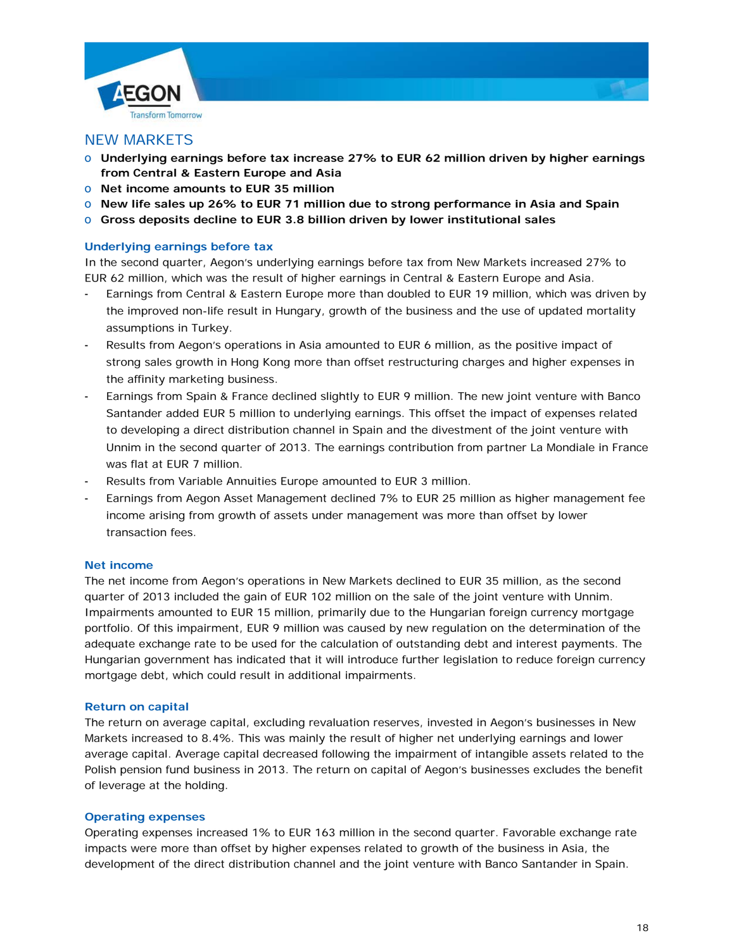



# NEW MARKETS

- o **Underlying earnings before tax increase 27% to EUR 62 million driven by higher earnings from Central & Eastern Europe and Asia**
- o **Net income amounts to EUR 35 million**
- o **New life sales up 26% to EUR 71 million due to strong performance in Asia and Spain**
- o **Gross deposits decline to EUR 3.8 billion driven by lower institutional sales**

# **Underlying earnings before tax**

In the second quarter, Aegon's underlying earnings before tax from New Markets increased 27% to EUR 62 million, which was the result of higher earnings in Central & Eastern Europe and Asia.

- Earnings from Central & Eastern Europe more than doubled to EUR 19 million, which was driven by the improved non-life result in Hungary, growth of the business and the use of updated mortality assumptions in Turkey.
- Results from Aegon's operations in Asia amounted to EUR 6 million, as the positive impact of strong sales growth in Hong Kong more than offset restructuring charges and higher expenses in the affinity marketing business.
- Earnings from Spain & France declined slightly to EUR 9 million. The new joint venture with Banco Santander added EUR 5 million to underlying earnings. This offset the impact of expenses related to developing a direct distribution channel in Spain and the divestment of the joint venture with Unnim in the second quarter of 2013. The earnings contribution from partner La Mondiale in France was flat at EUR 7 million.
- Results from Variable Annuities Europe amounted to EUR 3 million.
- Earnings from Aegon Asset Management declined 7% to EUR 25 million as higher management fee income arising from growth of assets under management was more than offset by lower transaction fees.

# **Net income**

The net income from Aegon's operations in New Markets declined to EUR 35 million, as the second quarter of 2013 included the gain of EUR 102 million on the sale of the joint venture with Unnim. Impairments amounted to EUR 15 million, primarily due to the Hungarian foreign currency mortgage portfolio. Of this impairment, EUR 9 million was caused by new regulation on the determination of the adequate exchange rate to be used for the calculation of outstanding debt and interest payments. The Hungarian government has indicated that it will introduce further legislation to reduce foreign currency mortgage debt, which could result in additional impairments.

# **Return on capital**

The return on average capital, excluding revaluation reserves, invested in Aegon's businesses in New Markets increased to 8.4%. This was mainly the result of higher net underlying earnings and lower average capital. Average capital decreased following the impairment of intangible assets related to the Polish pension fund business in 2013. The return on capital of Aegon's businesses excludes the benefit of leverage at the holding.

# **Operating expenses**

Operating expenses increased 1% to EUR 163 million in the second quarter. Favorable exchange rate impacts were more than offset by higher expenses related to growth of the business in Asia, the development of the direct distribution channel and the joint venture with Banco Santander in Spain.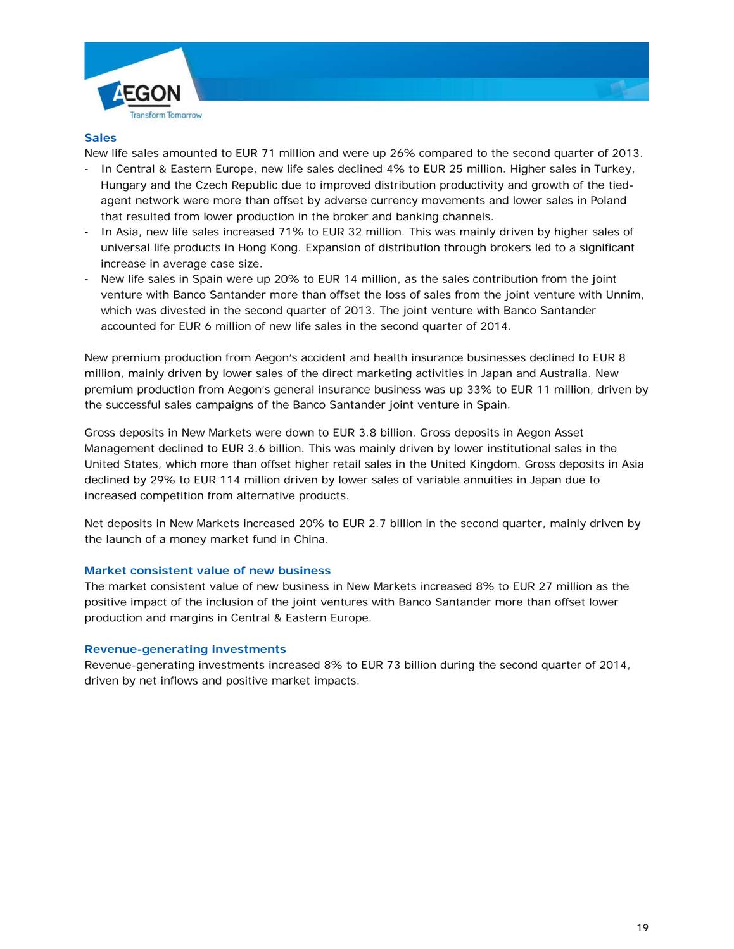



# **Sales**

New life sales amounted to EUR 71 million and were up 26% compared to the second quarter of 2013.

- In Central & Eastern Europe, new life sales declined 4% to EUR 25 million. Higher sales in Turkey, Hungary and the Czech Republic due to improved distribution productivity and growth of the tiedagent network were more than offset by adverse currency movements and lower sales in Poland that resulted from lower production in the broker and banking channels.
- In Asia, new life sales increased 71% to EUR 32 million. This was mainly driven by higher sales of universal life products in Hong Kong. Expansion of distribution through brokers led to a significant increase in average case size.
- New life sales in Spain were up 20% to EUR 14 million, as the sales contribution from the joint venture with Banco Santander more than offset the loss of sales from the joint venture with Unnim, which was divested in the second quarter of 2013. The joint venture with Banco Santander accounted for EUR 6 million of new life sales in the second quarter of 2014.

New premium production from Aegon's accident and health insurance businesses declined to EUR 8 million, mainly driven by lower sales of the direct marketing activities in Japan and Australia. New premium production from Aegon's general insurance business was up 33% to EUR 11 million, driven by the successful sales campaigns of the Banco Santander joint venture in Spain.

Gross deposits in New Markets were down to EUR 3.8 billion. Gross deposits in Aegon Asset Management declined to EUR 3.6 billion. This was mainly driven by lower institutional sales in the United States, which more than offset higher retail sales in the United Kingdom. Gross deposits in Asia declined by 29% to EUR 114 million driven by lower sales of variable annuities in Japan due to increased competition from alternative products.

Net deposits in New Markets increased 20% to EUR 2.7 billion in the second quarter, mainly driven by the launch of a money market fund in China.

# **Market consistent value of new business**

The market consistent value of new business in New Markets increased 8% to EUR 27 million as the positive impact of the inclusion of the joint ventures with Banco Santander more than offset lower production and margins in Central & Eastern Europe.

#### **Revenue-generating investments**

Revenue-generating investments increased 8% to EUR 73 billion during the second quarter of 2014, driven by net inflows and positive market impacts.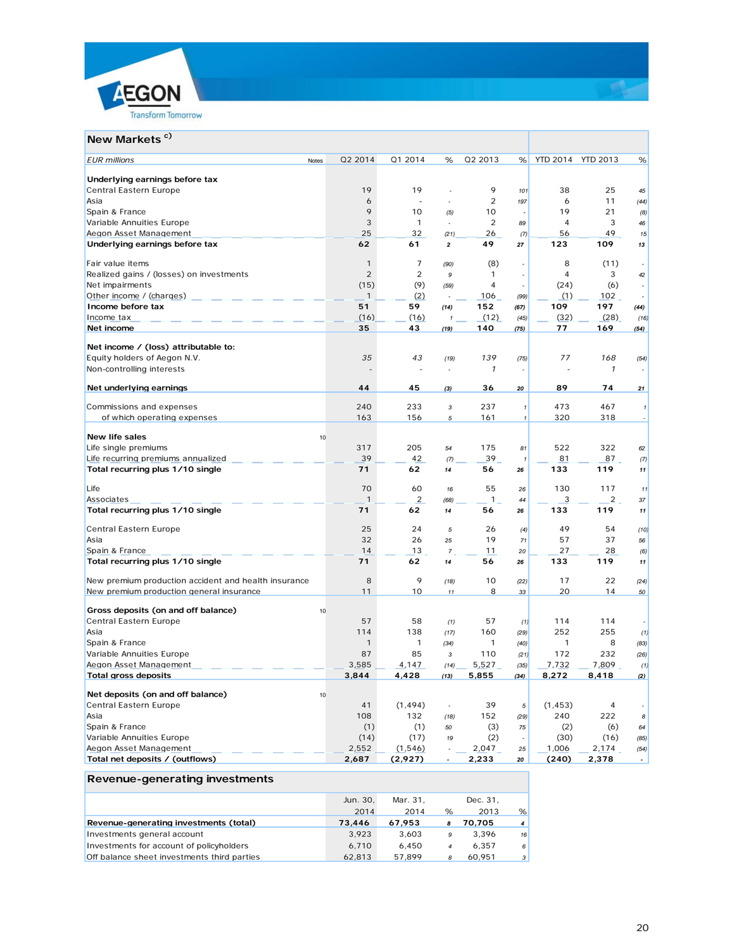



# **New Markets<sup>c)</sup>**

| <b>EUR</b> millions<br>Notes                         | Q2 2014        | Q1 2014        | %              | Q2 2013        | %                    | <b>YTD 2014</b> | <b>YTD 2013</b> | %                          |
|------------------------------------------------------|----------------|----------------|----------------|----------------|----------------------|-----------------|-----------------|----------------------------|
| Underlying earnings before tax                       |                |                |                |                |                      |                 |                 |                            |
| Central Eastern Europe                               | 19             | 19             |                | 9              | 101                  | 38              | 25              | 45                         |
| Asia                                                 | 6              |                |                | $\overline{2}$ | 197                  | 6               | 11              | (44)                       |
| Spain & France                                       | 9              | 10             | (5)            | 10             |                      | 19              | 21              | (8)                        |
| Variable Annuities Europe                            | 3              | $\mathbf{1}$   | ÷,             | $\overline{2}$ | 89                   | $\overline{4}$  | 3               | 46                         |
| Aegon Asset Management                               | 25             | 32             | (21)           | 26             | (7)                  | 56              | 49              | 15                         |
| Underlying earnings before tax                       | 62             | 61             | $\overline{2}$ | 49             | 27                   | 123             | 109             | 13                         |
| Fair value items                                     | $\mathbf{1}$   | $\overline{7}$ | (90)           | (8)            | ÷,                   | 8               | (11)            |                            |
| Realized gains / (losses) on investments             | $\overline{2}$ | $\overline{2}$ | 9              | $\mathbf{1}$   | $\ddot{\phantom{a}}$ | $\overline{4}$  | 3               | 42                         |
| Net impairments                                      | (15)           | (9)            | (59)           | $\overline{4}$ |                      | (24)            | (6)             |                            |
| Other income / (charges)                             | $\mathbf{1}$   | (2)            |                | 106            | (99)                 | (1)             | 102             |                            |
| Income before tax                                    | 51             | 59             | (14)           | 152            | (67)                 | 109             | 197             | (44)                       |
| Income tax                                           | (16)           | (16)           | 1              | (12)           | (45)                 | (32)            | (28)            | (16)                       |
| Net income                                           | 35             | 43             | (19)           | 140            | (75)                 | 77              | 169             | (54)                       |
|                                                      |                |                |                |                |                      |                 |                 |                            |
| Net income / (loss) attributable to:                 | 35             | 43             |                | 139            |                      | 77              | 168             |                            |
| Equity holders of Aegon N.V.                         |                |                | (19)           |                | (75)                 |                 |                 | (54)                       |
| Non-controlling interests                            |                |                |                | $\mathcal{I}$  |                      |                 | $\mathcal I$    |                            |
| Net underlying earnings                              | 44             | 45             | (3)            | 36             | 20                   | 89              | 74              | 21                         |
| Commissions and expenses                             | 240            | 233            | $\sqrt{3}$     | 237            | $\pmb{\mathcal{I}}$  | 473             | 467             | $\mathbf{1}$               |
| of which operating expenses                          | 163            | 156            | 5              | 161            | $\mathbf{1}$         | 320             | 318             |                            |
|                                                      |                |                |                |                |                      |                 |                 |                            |
| New life sales                                       | 10             |                |                |                |                      |                 |                 |                            |
| Life single premiums                                 | 317            | 205            | 54             | 175            | 81                   | 522             | 322             | 62                         |
| Life recurring premiums annualized                   | 39             | 42             | (7)            | 39             | 1                    | 81              | 87              | (7)                        |
| Total recurring plus 1/10 single                     | 71             | 62             | 14             | 56             | 26                   | 133             | 119             | 11                         |
| Life                                                 | 70             | 60             | 16             | 55             | 26                   | 130             | 117             | 11                         |
| Associates                                           | $\mathbf{1}$   | 2              | (68)           | 1              | 44                   | 3               | $\overline{2}$  | 37                         |
| Total recurring plus 1/10 single                     | 71             | 62             | 14             | 56             | 26                   | 133             | 119             | 11                         |
| Central Eastern Europe                               | 25             | 24             | 5              | 26             | (4)                  | 49              | 54              | (10)                       |
| Asia                                                 | 32             | 26             | 25             | 19             | 71                   | 57              | 37              | 56                         |
| Spain & France                                       | 14             | 13             | $\overline{7}$ | 11             | 20                   | 27              | 28              | (6)                        |
| Total recurring plus 1/10 single                     | 71             | 62             | 14             | 56             | 26                   | 133             | 119             | 11                         |
| New premium production accident and health insurance | 8              | 9              | (18)           | 10             | (22)                 | 17              | 22              | (24)                       |
| New premium production general insurance             | 11             | 10             | 11             | 8              | 33                   | 20              | 14              | 50                         |
| Gross deposits (on and off balance)                  | 10             |                |                |                |                      |                 |                 |                            |
| Central Eastern Europe                               | 57             | 58             | (1)            | 57             | (1)                  | 114             | 114             |                            |
| Asia                                                 | 114            | 138            | (17)           | 160            | (29)                 | 252             | 255             | (1)                        |
| Spain & France                                       | $\mathbf{1}$   | $\mathbf{1}$   | (34)           | $\mathbf{1}$   | (40)                 | $\mathbf{1}$    | 8               | (83)                       |
| Variable Annuities Europe                            | 87             | 85             | $\sqrt{3}$     | 110            | (21)                 | 172             | 232             | (26)                       |
| Aegon Asset Management                               | 3,585          | 4,147          | (14)           | 5,527          | (35)                 | 7,732           | 7,809           | (1)                        |
| <b>Total gross deposits</b>                          | 3,844          | 4,428          | (13)           | 5,855          | (34)                 | 8,272           | 8,418           | (2)                        |
|                                                      |                |                |                |                |                      |                 |                 |                            |
| Net deposits (on and off balance)                    | 10             |                |                |                |                      |                 |                 |                            |
| Central Eastern Europe                               | 41             | (1, 494)       | ÷.             | 39             | 5                    | (1, 453)        | 4               |                            |
| Asia                                                 | 108            | 132            | (18)           | 152            | (29)                 | 240             | 222             | $\boldsymbol{\mathcal{B}}$ |
| Spain & France                                       | (1)            | (1)            | 50             | (3)            | 75                   | (2)             | (6)             | 64                         |
| Variable Annuities Europe                            | (14)<br>2,552  | (17)           | 19             | (2)            | $\ddot{\phantom{a}}$ | (30)<br>1,006   | (16)            | (85)                       |
| Aegon Asset Management                               | 2,687          | (1, 546)       | ÷              | 2,047          | 25                   |                 | 2,174           | (54)<br>$\overline{a}$     |
| Total net deposits / (outflows)                      |                | (2,927)        |                | 2,233          | 20                   | (240)           | 2,378           |                            |

# **Revenue-generating investments**

|                                             | Jun. 30. | Mar. 31. |   | Dec. 31. |                |
|---------------------------------------------|----------|----------|---|----------|----------------|
|                                             | 2014     | 2014     | % | 2013     | %              |
| Revenue-generating investments (total)      | 73,446   | 67.953   | 8 | 70.705   | $\overline{4}$ |
| Investments general account                 | 3.923    | 3.603    | 9 | 3.396    | 16             |
| Investments for account of policyholders    | 6.710    | 6.450    | 4 | 6.357    | 6              |
| Off balance sheet investments third parties | 62.813   | 57.899   | 8 | 60.951   | $\mathbf{3}$   |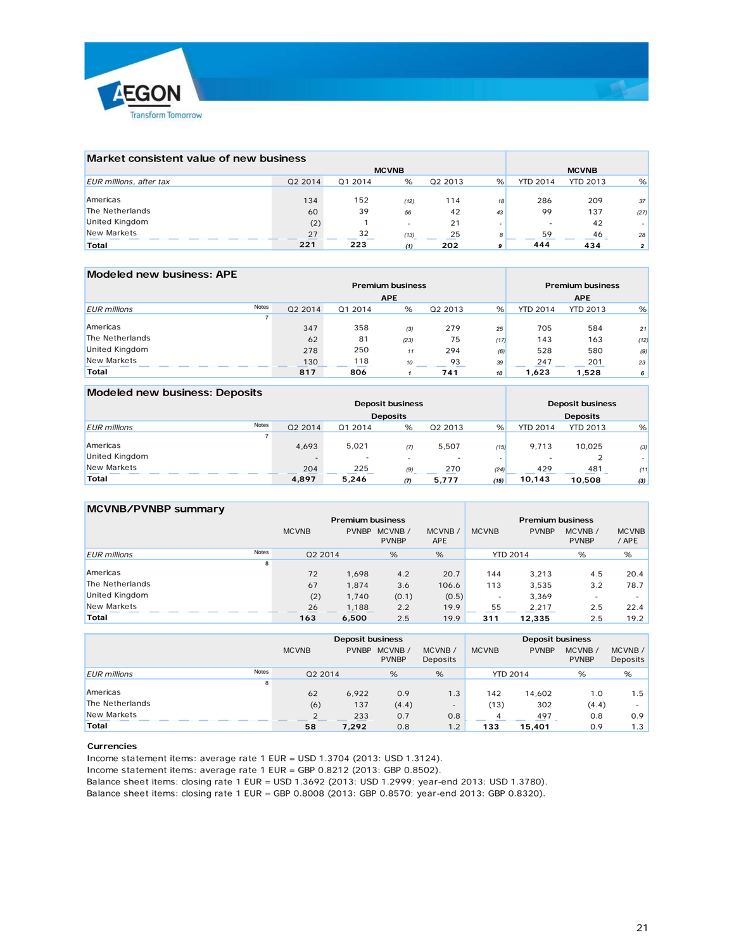

| Market consistent value of new business |         |         |                          |           |          |                 |                 |      |
|-----------------------------------------|---------|---------|--------------------------|-----------|----------|-----------------|-----------------|------|
|                                         |         |         | <b>MCVNB</b>             |           |          |                 | <b>MCVNB</b>    |      |
| EUR millions, after tax                 | Q2 2014 | Q1 2014 | %                        | Q2 2013   | %        | <b>YTD 2014</b> | <b>YTD 2013</b> | %    |
| Americas                                | 134     | 152     |                          |           |          | 286             | 209             |      |
| The Netherlands                         | 60      | 39      | (12)<br>56               | 114<br>42 | 18<br>43 | 99              | 137             | 37   |
| United Kingdom                          | (2)     |         | $\overline{\phantom{a}}$ | 21        |          |                 | 42              | (27) |
| New Markets                             | 27      | 32      | (13)                     | 25        | 8        | 59              | 46              | 28   |
| Total                                   | 221     | 223     | (1)                      | 202       | 9        | 444             | 434             |      |

| Modeled new business: APE    |         |                         |                         |         |      |                 |                 |      |  |
|------------------------------|---------|-------------------------|-------------------------|---------|------|-----------------|-----------------|------|--|
|                              |         | <b>Premium business</b> | <b>Premium business</b> |         |      |                 |                 |      |  |
|                              |         |                         | <b>APE</b>              |         |      | <b>APE</b>      |                 |      |  |
| Notes<br><b>EUR</b> millions | Q2 2014 | 01 2014                 | %                       | Q2 2013 | %    | <b>YTD 2014</b> | <b>YTD 2013</b> | %    |  |
|                              |         |                         |                         |         |      |                 |                 |      |  |
| Americas                     | 347     | 358                     | (3)                     | 279     | 25   | 705             | 584             | 21   |  |
| The Netherlands              | 62      | 81                      | (23)                    | 75      | (17) | 143             | 163             | (12) |  |
| United Kingdom               | 278     | 250                     | 11                      | 294     | (6)  | 528             | 580             | (9)  |  |
| New Markets                  | 130     | 118                     | 10                      | 93      | 39   | 247             | 201             | 23   |  |
| Total                        | 817     | 806                     |                         | 741     | 10   | 1.623           | 1,528           | 6    |  |

#### **Modeled new business: Deposits Deposit business Deposits** *EUR millions* Notes Q2 2014 Q1 2014 % Q2 2013 % YTD 2014 YTD 2013 % 7 Americas 4,693 5,021 *(7)* 5,507 *(15)* 9,713 10,025 *(3)* United Kingdom - - *-* - *-* - 2 *-* New Markets 204 225 *(9)* 270 *(24)* 429 481 *(11)* **Total 4,897 5,246** *(7)* **5,777** *(15)* **10,143 10,508** *(3)* **Deposit business Deposits**

# **MCVNB/PVNBP summary**

|                              | <b>Premium business</b> |              |                        |                      |                 | <b>Premium business</b> |                        |                       |
|------------------------------|-------------------------|--------------|------------------------|----------------------|-----------------|-------------------------|------------------------|-----------------------|
|                              | <b>MCVNB</b>            | <b>PVNBP</b> | MCVNB/<br><b>PVNBP</b> | MCVNB/<br><b>APE</b> | <b>MCVNB</b>    | <b>PVNBP</b>            | MCVNB/<br><b>PVNBP</b> | <b>MCVNB</b><br>/ APE |
| Notes<br><b>EUR</b> millions | Q2 2014                 |              | %                      | %                    | <b>YTD 2014</b> |                         | %                      | %                     |
| 8                            |                         |              |                        |                      |                 |                         |                        |                       |
| Americas                     | 72                      | 1.698        | 4.2                    | 20.7                 | 144             | 3,213                   | 4.5                    | 20.4                  |
| The Netherlands              | 67                      | 1.874        | 3.6                    | 106.6                | 113             | 3.535                   | 3.2                    | 78.7                  |
| <b>United Kingdom</b>        | (2)                     | 1.740        | (0.1)                  | (0.5)                | ۰               | 3,369                   |                        |                       |
| New Markets                  | 26                      | 1,188        | 2.2                    | 19.9                 | 55              | 2,217                   | 2.5                    | 22.4                  |
| Total                        | 163                     | 6,500        | 2.5                    | 19.9                 | 311             | 12,335                  | 2.5                    | 19.2                  |

|                              | <b>Deposit business</b> |              |                         |                          | <b>Deposit business</b> |                 |                        |                    |  |
|------------------------------|-------------------------|--------------|-------------------------|--------------------------|-------------------------|-----------------|------------------------|--------------------|--|
|                              | <b>MCVNB</b>            | <b>PVNBP</b> | MCVNB /<br><b>PVNBP</b> | MCVNB/<br>Deposits       | <b>MCVNB</b>            | <b>PVNBP</b>    | MCVNB/<br><b>PVNBP</b> | MCVNB/<br>Deposits |  |
| Notes<br><b>EUR</b> millions | 02 2014                 |              | %                       | %                        |                         | <b>YTD 2014</b> | %                      | %                  |  |
| 8                            |                         |              |                         |                          |                         |                 |                        |                    |  |
| Americas                     | 62                      | 6.922        | 0.9                     | 1.3                      | 142                     | 14,602          | 1.0                    | 1.5                |  |
| The Netherlands              | (6)                     | 137          | (4.4)                   | $\overline{\phantom{a}}$ | (13)                    | 302             | (4.4)                  |                    |  |
| New Markets                  |                         | 233          | 0.7                     | 0.8                      | 4                       | 497             | 0.8                    | 0.9                |  |
| Total                        | 58                      | 7.292        | 0.8                     | 1.2                      | 133                     | 15,401          | 0.9                    | 1.3                |  |

#### **Currencies**

Income statement items: average rate 1 EUR = USD 1.3704 (2013: USD 1.3124).

Income statement items: average rate 1 EUR = GBP 0.8212 (2013: GBP 0.8502).

Balance sheet items: closing rate 1 EUR = USD 1.3692 (2013: USD 1.2999; year-end 2013: USD 1.3780).

Balance sheet items: closing rate 1 EUR = GBP 0.8008 (2013: GBP 0.8570; year-end 2013: GBP 0.8320).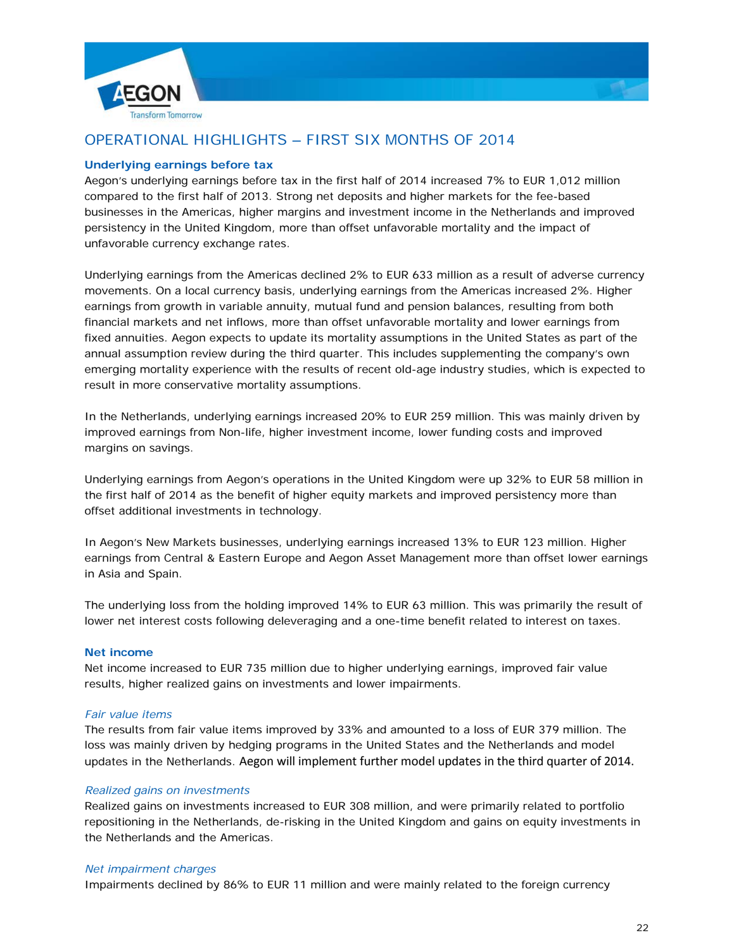



# OPERATIONAL HIGHLIGHTS – FIRST SIX MONTHS OF 2014

### **Underlying earnings before tax**

Aegon's underlying earnings before tax in the first half of 2014 increased 7% to EUR 1,012 million compared to the first half of 2013. Strong net deposits and higher markets for the fee-based businesses in the Americas, higher margins and investment income in the Netherlands and improved persistency in the United Kingdom, more than offset unfavorable mortality and the impact of unfavorable currency exchange rates.

Underlying earnings from the Americas declined 2% to EUR 633 million as a result of adverse currency movements. On a local currency basis, underlying earnings from the Americas increased 2%. Higher earnings from growth in variable annuity, mutual fund and pension balances, resulting from both financial markets and net inflows, more than offset unfavorable mortality and lower earnings from fixed annuities. Aegon expects to update its mortality assumptions in the United States as part of the annual assumption review during the third quarter. This includes supplementing the company's own emerging mortality experience with the results of recent old-age industry studies, which is expected to result in more conservative mortality assumptions.

In the Netherlands, underlying earnings increased 20% to EUR 259 million. This was mainly driven by improved earnings from Non-life, higher investment income, lower funding costs and improved margins on savings.

Underlying earnings from Aegon's operations in the United Kingdom were up 32% to EUR 58 million in the first half of 2014 as the benefit of higher equity markets and improved persistency more than offset additional investments in technology.

In Aegon's New Markets businesses, underlying earnings increased 13% to EUR 123 million. Higher earnings from Central & Eastern Europe and Aegon Asset Management more than offset lower earnings in Asia and Spain.

The underlying loss from the holding improved 14% to EUR 63 million. This was primarily the result of lower net interest costs following deleveraging and a one-time benefit related to interest on taxes.

#### **Net income**

Net income increased to EUR 735 million due to higher underlying earnings, improved fair value results, higher realized gains on investments and lower impairments.

#### *Fair value items*

The results from fair value items improved by 33% and amounted to a loss of EUR 379 million. The loss was mainly driven by hedging programs in the United States and the Netherlands and model updates in the Netherlands. Aegon will implement further model updates in the third quarter of 2014.

#### *Realized gains on investments*

Realized gains on investments increased to EUR 308 million, and were primarily related to portfolio repositioning in the Netherlands, de-risking in the United Kingdom and gains on equity investments in the Netherlands and the Americas.

#### *Net impairment charges*

Impairments declined by 86% to EUR 11 million and were mainly related to the foreign currency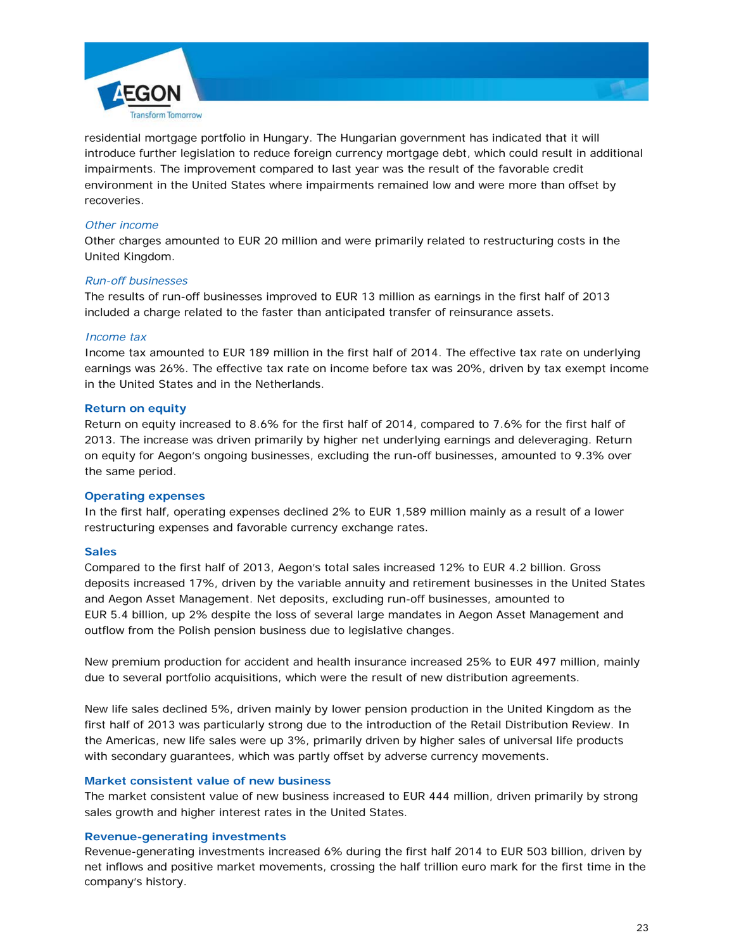

residential mortgage portfolio in Hungary. The Hungarian government has indicated that it will introduce further legislation to reduce foreign currency mortgage debt, which could result in additional impairments. The improvement compared to last year was the result of the favorable credit environment in the United States where impairments remained low and were more than offset by recoveries.

### *Other income*

Other charges amounted to EUR 20 million and were primarily related to restructuring costs in the United Kingdom.

#### *Run-off businesses*

The results of run-off businesses improved to EUR 13 million as earnings in the first half of 2013 included a charge related to the faster than anticipated transfer of reinsurance assets.

### *Income tax*

Income tax amounted to EUR 189 million in the first half of 2014. The effective tax rate on underlying earnings was 26%. The effective tax rate on income before tax was 20%, driven by tax exempt income in the United States and in the Netherlands.

### **Return on equity**

Return on equity increased to 8.6% for the first half of 2014, compared to 7.6% for the first half of 2013. The increase was driven primarily by higher net underlying earnings and deleveraging. Return on equity for Aegon's ongoing businesses, excluding the run-off businesses, amounted to 9.3% over the same period.

#### **Operating expenses**

In the first half, operating expenses declined 2% to EUR 1,589 million mainly as a result of a lower restructuring expenses and favorable currency exchange rates.

# **Sales**

Compared to the first half of 2013, Aegon's total sales increased 12% to EUR 4.2 billion. Gross deposits increased 17%, driven by the variable annuity and retirement businesses in the United States and Aegon Asset Management. Net deposits, excluding run-off businesses, amounted to EUR 5.4 billion, up 2% despite the loss of several large mandates in Aegon Asset Management and outflow from the Polish pension business due to legislative changes.

New premium production for accident and health insurance increased 25% to EUR 497 million, mainly due to several portfolio acquisitions, which were the result of new distribution agreements.

New life sales declined 5%, driven mainly by lower pension production in the United Kingdom as the first half of 2013 was particularly strong due to the introduction of the Retail Distribution Review. In the Americas, new life sales were up 3%, primarily driven by higher sales of universal life products with secondary guarantees, which was partly offset by adverse currency movements.

#### **Market consistent value of new business**

The market consistent value of new business increased to EUR 444 million, driven primarily by strong sales growth and higher interest rates in the United States.

#### **Revenue-generating investments**

Revenue-generating investments increased 6% during the first half 2014 to EUR 503 billion, driven by net inflows and positive market movements, crossing the half trillion euro mark for the first time in the company's history.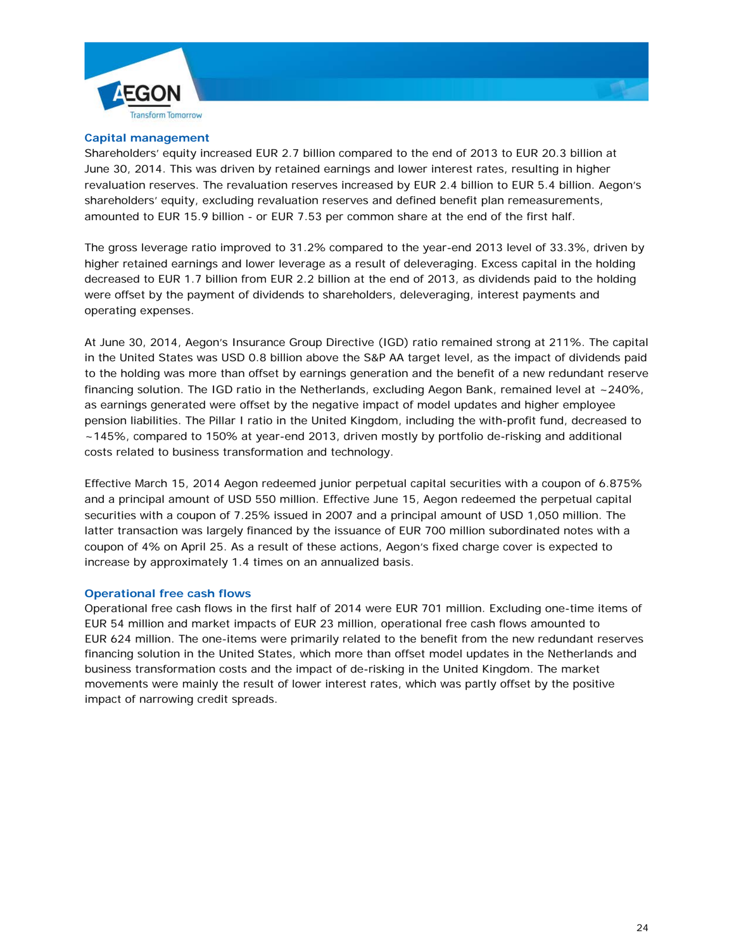



#### **Capital management**

Shareholders' equity increased EUR 2.7 billion compared to the end of 2013 to EUR 20.3 billion at June 30, 2014. This was driven by retained earnings and lower interest rates, resulting in higher revaluation reserves. The revaluation reserves increased by EUR 2.4 billion to EUR 5.4 billion. Aegon's shareholders' equity, excluding revaluation reserves and defined benefit plan remeasurements, amounted to EUR 15.9 billion - or EUR 7.53 per common share at the end of the first half.

The gross leverage ratio improved to 31.2% compared to the year-end 2013 level of 33.3%, driven by higher retained earnings and lower leverage as a result of deleveraging. Excess capital in the holding decreased to EUR 1.7 billion from EUR 2.2 billion at the end of 2013, as dividends paid to the holding were offset by the payment of dividends to shareholders, deleveraging, interest payments and operating expenses.

At June 30, 2014, Aegon's Insurance Group Directive (IGD) ratio remained strong at 211%. The capital in the United States was USD 0.8 billion above the S&P AA target level, as the impact of dividends paid to the holding was more than offset by earnings generation and the benefit of a new redundant reserve financing solution. The IGD ratio in the Netherlands, excluding Aegon Bank, remained level at ~240%, as earnings generated were offset by the negative impact of model updates and higher employee pension liabilities. The Pillar I ratio in the United Kingdom, including the with-profit fund, decreased to ~145%, compared to 150% at year-end 2013, driven mostly by portfolio de-risking and additional costs related to business transformation and technology.

Effective March 15, 2014 Aegon redeemed junior perpetual capital securities with a coupon of 6.875% and a principal amount of USD 550 million. Effective June 15, Aegon redeemed the perpetual capital securities with a coupon of 7.25% issued in 2007 and a principal amount of USD 1,050 million. The latter transaction was largely financed by the issuance of EUR 700 million subordinated notes with a coupon of 4% on April 25. As a result of these actions, Aegon's fixed charge cover is expected to increase by approximately 1.4 times on an annualized basis.

### **Operational free cash flows**

Operational free cash flows in the first half of 2014 were EUR 701 million. Excluding one-time items of EUR 54 million and market impacts of EUR 23 million, operational free cash flows amounted to EUR 624 million. The one-items were primarily related to the benefit from the new redundant reserves financing solution in the United States, which more than offset model updates in the Netherlands and business transformation costs and the impact of de-risking in the United Kingdom. The market movements were mainly the result of lower interest rates, which was partly offset by the positive impact of narrowing credit spreads.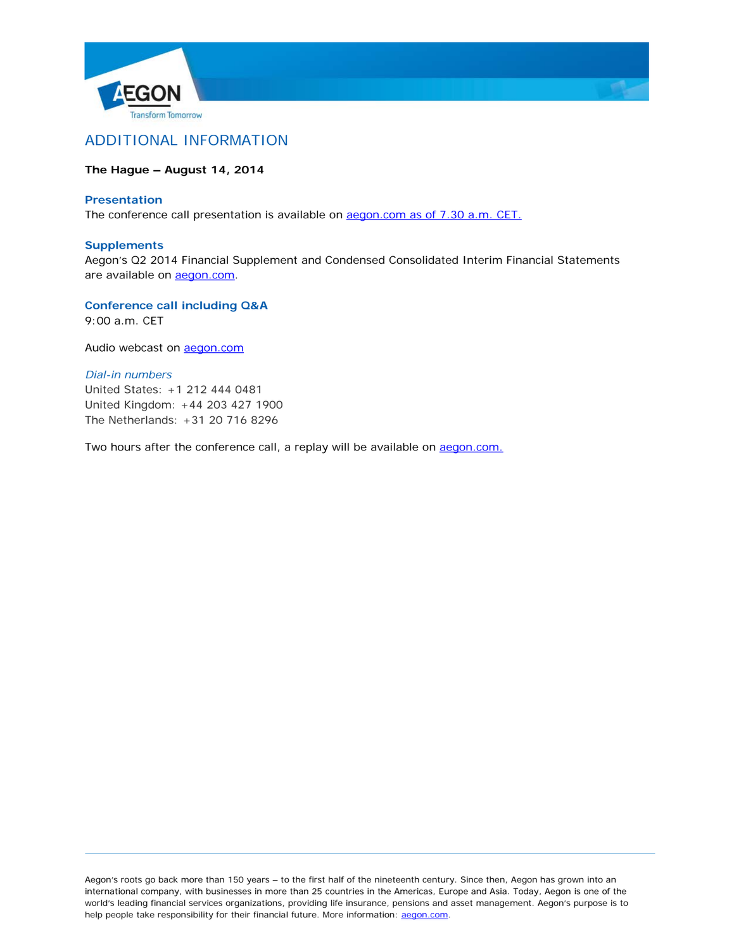



# ADDITIONAL INFORMATION

# **The Hague – August 14, 2014**

### **Presentation**

The conference call presentation is available on **aegon.com as of 7.30 a.m. CET**.

#### **Supplements**

Aegon's Q2 2014 Financial Supplement and Condensed Consolidated Interim Financial Statements are available on **aegon.com**.

**Conference call including Q&A**

9:00 a.m. CET

Audio webcast on [aegon.com](http://www.aegon.com/)

### *Dial-in numbers*

United States: +1 212 444 0481 United Kingdom: +44 203 427 1900 The Netherlands: +31 20 716 8296

Two hours after the conference call, a replay will be available on aegon.com.

Aegon's roots go back more than 150 years – to the first half of the nineteenth century. Since then, Aegon has grown into an international company, with businesses in more than 25 countries in the Americas, Europe and Asia. Today, Aegon is one of the world's leading financial services organizations, providing life insurance, pensions and asset management. Aegon's purpose is to help people take responsibility for their financial future. More information: [aegon.com.](http://www.aegon.com/)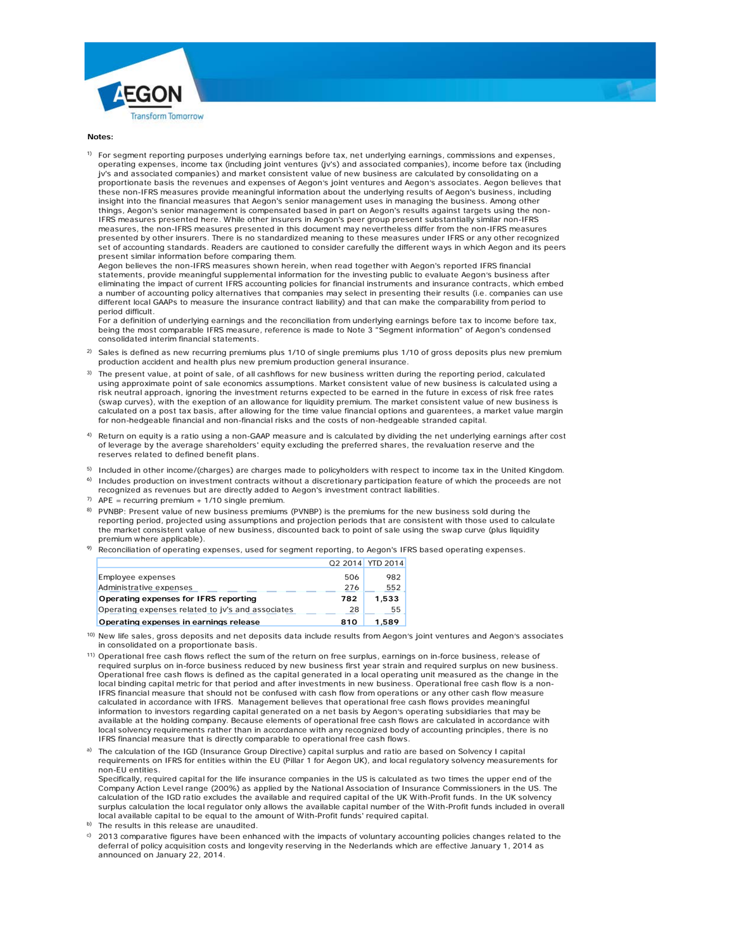



**Notes:**

<sup>1)</sup> For segment reporting purposes underlying earnings before tax, net underlying earnings, commissions and expenses, operating expenses, income tax (including joint ventures (jv's) and associated companies), income before tax (including jv's and associated companies) and market consistent value of new business are calculated by consolidating on a proportionate basis the revenues and expenses of Aegon's joint ventures and Aegon's associates. Aegon believes that these non-IFRS measures provide meaningful information about the underlying results of Aegon's business, including insight into the financial measures that Aegon's senior management uses in managing the business. Among other things, Aegon's senior management is compensated based in part on Aegon's results against targets using the non-IFRS measures presented here. While other insurers in Aegon's peer group present substantially similar non-IFRS measures, the non-IFRS measures presented in this document may nevertheless differ from the non-IFRS measures presented by other insurers. There is no standardized meaning to these measures under IFRS or any other recognized set of accounting standards. Readers are cautioned to consider carefully the different ways in which Aegon and its peers present similar information before comparing them.

Aegon believes the non-IFRS measures shown herein, when read together with Aegon's reported IFRS financial statements, provide meaningful supplemental information for the investing public to evaluate Aegon's business after eliminating the impact of current IFRS accounting policies for financial instruments and insurance contracts, which embed a number of accounting policy alternatives that companies may select in presenting their results (i.e. companies can use different local GAAPs to measure the insurance contract liability) and that can make the comparability from period to period difficult.

For a definition of underlying earnings and the reconciliation from underlying earnings before tax to income before tax, being the most comparable IFRS measure, reference is made to Note 3 "Segment information" of Aegon's condensed consolidated interim financial statements.

- $^{2)}$  Sales is defined as new recurring premiums plus 1/10 of single premiums plus 1/10 of gross deposits plus new premium production accident and health plus new premium production general insurance.
- 3) The present value, at point of sale, of all cashflows for new business written during the reporting period, calculated using approximate point of sale economics assumptions. Market consistent value of new business is calculated using a risk neutral approach, ignoring the investment returns expected to be earned in the future in excess of risk free rates (swap curves), with the exeption of an allowance for liquidity premium. The market consistent value of new business is calculated on a post tax basis, after allowing for the time value financial options and guarentees, a market value margin for non-hedgeable financial and non-financial risks and the costs of non-hedgeable stranded capital.
- 4) Return on equity is a ratio using a non-GAAP measure and is calculated by dividing the net underlying earnings after cost of leverage by the average shareholders' equity excluding the preferred shares, the revaluation reserve and the reserves related to defined benefit plans.
- $^{5)}$  Included in other income/(charges) are charges made to policyholders with respect to income tax in the United Kingdom. <sup>6)</sup> Includes production on investment contracts without a discretionary participation feature of which the proceeds are not
- recognized as revenues but are directly added to Aegon's investment contract liabilities.
- $7)$  APE = recurring premium + 1/10 single premium.
- 8) PVNBP: Present value of new business premiums (PVNBP) is the premiums for the new business sold during the reporting period, projected using assumptions and projection periods that are consistent with those used to calculate the market consistent value of new business, discounted back to point of sale using the swap curve (plus liquidity premium where applicable).
- $9$  Reconciliation of operating expenses, used for segment reporting, to Aegon's IFRS based operating expenses.

| Administrative expenses                           | 276 | 552   |
|---------------------------------------------------|-----|-------|
| Operating expenses for IFRS reporting             | 782 | 1.533 |
| Operating expenses related to jv's and associates | 28  | 55    |
|                                                   |     |       |

10) New life sales, gross deposits and net deposits data include results from Aegon's joint ventures and Aegon's associates in consolidated on a proportionate basis.

- 11) Operational free cash flows reflect the sum of the return on free surplus, earnings on in-force business, release of required surplus on in-force business reduced by new business first year strain and required surplus on new business. Operational free cash flows is defined as the capital generated in a local operating unit measured as the change in the local binding capital metric for that period and after investments in new business. Operational free cash flow is a non-IFRS financial measure that should not be confused with cash flow from operations or any other cash flow measure calculated in accordance with IFRS. Management believes that operational free cash flows provides meaningful information to investors regarding capital generated on a net basis by Aegon's operating subsidiaries that may be available at the holding company. Because elements of operational free cash flows are calculated in accordance with local solvency requirements rather than in accordance with any recognized body of accounting principles, there is no IFRS financial measure that is directly comparable to operational free cash flows.
- a) The calculation of the IGD (Insurance Group Directive) capital surplus and ratio are based on Solvency I capital requirements on IFRS for entities within the EU (Pillar 1 for Aegon UK), and local regulatory solvency measurements for non-EU entities.

Specifically, required capital for the life insurance companies in the US is calculated as two times the upper end of the Company Action Level range (200%) as applied by the National Association of Insurance Commissioners in the US. The calculation of the IGD ratio excludes the available and required capital of the UK With-Profit funds. In the UK solvency surplus calculation the local regulator only allows the available capital number of the With-Profit funds included in overall local available capital to be equal to the amount of With-Profit funds' required capital.

- b) The results in this release are unaudited.
- 2013 comparative figures have been enhanced with the impacts of voluntary accounting policies changes related to the deferral of policy acquisition costs and longevity reserving in the Nederlands which are effective January 1, 2014 as announced on January 22, 2014.